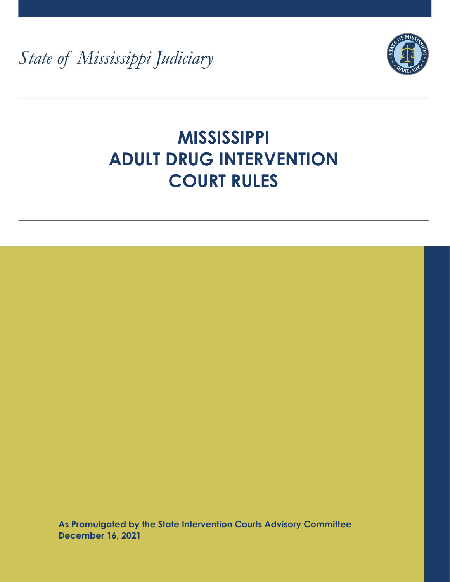State of Mississippi Judiciary



# **MISSISSIPPI ADULT DRUG INTERVENTION COURT RULES**

**As Promulgated by the State Intervention Courts Advisory Committee December 16, 2021**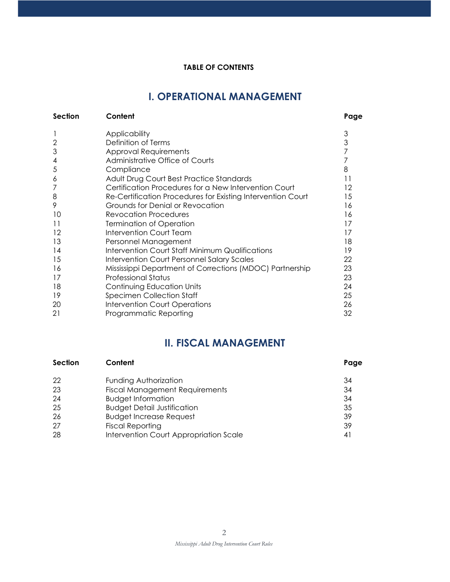#### **TABLE OF CONTENTS**

# **I. OPERATIONAL MANAGEMENT**

| <b>Section</b> | Content                                                     | Page |
|----------------|-------------------------------------------------------------|------|
|                | Applicability                                               | 3    |
| $\overline{2}$ | Definition of Terms                                         | 3    |
| 3              | Approval Requirements                                       | 7    |
| 4              | Administrative Office of Courts                             |      |
| 5              | Compliance                                                  | 8    |
| 6              | Adult Drug Court Best Practice Standards                    | 11   |
|                | Certification Procedures for a New Intervention Court       | 12   |
| 8              | Re-Certification Procedures for Existing Intervention Court | 15   |
| 9              | Grounds for Denial or Revocation                            | 16   |
| 10             | <b>Revocation Procedures</b>                                | 16   |
| 11             | <b>Termination of Operation</b>                             | 17   |
| 12             | <b>Intervention Court Team</b>                              | 17   |
| 13             | Personnel Management                                        | 18   |
| 14             | Intervention Court Staff Minimum Qualifications             | 19   |
| 15             | Intervention Court Personnel Salary Scales                  | 22   |
| 16             | Mississippi Department of Corrections (MDOC) Partnership    | 23   |
| 17             | <b>Professional Status</b>                                  | 23   |
| 18             | Continuing Education Units                                  | 24   |
| 19             | <b>Specimen Collection Staff</b>                            | 25   |
| 20             | <b>Intervention Court Operations</b>                        | 26   |
| 21             | Programmatic Reporting                                      | 32   |

## **II. FISCAL MANAGEMENT**

| Section | Content                                | Page |
|---------|----------------------------------------|------|
| -22     | Funding Authorization                  | 34   |
| 23      | <b>Fiscal Management Requirements</b>  | 34   |
| 24      | <b>Budget Information</b>              | 34   |
| 25      | <b>Budget Detail Justification</b>     | 35   |
| 26      | <b>Budget Increase Request</b>         | 39   |
| 27      | <b>Fiscal Reporting</b>                | 39   |
| 28      | Intervention Court Appropriation Scale | 41   |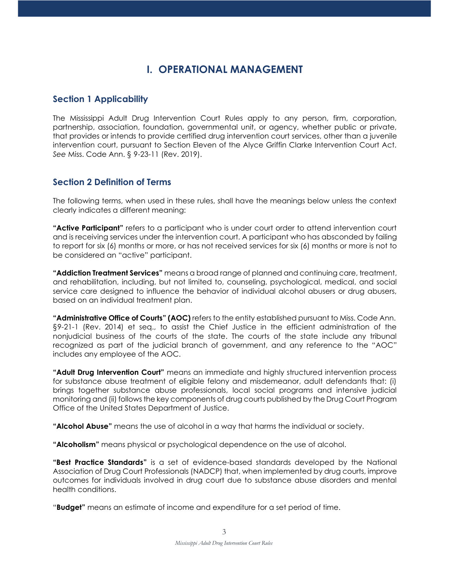# **I. OPERATIONAL MANAGEMENT**

## **Section 1 Applicability**

The Mississippi Adult Drug Intervention Court Rules apply to any person, firm, corporation, partnership, association, foundation, governmental unit, or agency, whether public or private, that provides or intends to provide certified drug intervention court services, other than a juvenile intervention court, pursuant to Section Eleven of the Alyce Griffin Clarke Intervention Court Act. *See* Miss. Code Ann. § 9-23-11 (Rev. 2019).

## **Section 2 Definition of Terms**

The following terms, when used in these rules, shall have the meanings below unless the context clearly indicates a different meaning:

**"Active Participant"** refers to a participant who is under court order to attend intervention court and is receiving services under the intervention court. A participant who has absconded by failing to report for six (6) months or more, or has not received services for six (6) months or more is not to be considered an "active" participant.

**"Addiction Treatment Services"** means a broad range of planned and continuing care, treatment, and rehabilitation, including, but not limited to, counseling, psychological, medical, and social service care designed to influence the behavior of individual alcohol abusers or drug abusers, based on an individual treatment plan.

**"Administrative Office of Courts" (AOC)** refers to the entity established pursuant to Miss. Code Ann. §9-21-1 (Rev. 2014) et seq., to assist the Chief Justice in the efficient administration of the nonjudicial business of the courts of the state. The courts of the state include any tribunal recognized as part of the judicial branch of government, and any reference to the "AOC" includes any employee of the AOC.

**"Adult Drug Intervention Court"** means an immediate and highly structured intervention process for substance abuse treatment of eligible felony and misdemeanor, adult defendants that: (i) brings together substance abuse professionals, local social programs and intensive judicial monitoring and (ii) follows the key components of drug courts published by the Drug Court Program Office of the United States Department of Justice.

**"Alcohol Abuse"** means the use of alcohol in a way that harms the individual or society.

**"Alcoholism"** means physical or psychological dependence on the use of alcohol.

**"Best Practice Standards"** is a set of evidence-based standards developed by the National Association of Drug Court Professionals (NADCP) that, when implemented by drug courts, improve outcomes for individuals involved in drug court due to substance abuse disorders and mental health conditions.

"**Budget"** means an estimate of income and expenditure for a set period of time.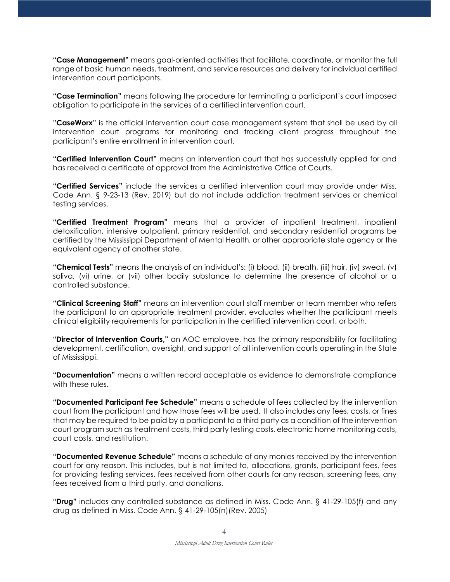**"Case Management"** means goal-oriented activities that facilitate, coordinate, or monitor the full range of basic human needs, treatment, and service resources and delivery for individual certified intervention court participants.

**"Case Termination"** means following the procedure for terminating a participant's court imposed obligation to participate in the services of a certified intervention court.

"**CaseWorx**" is the official intervention court case management system that shall be used by all intervention court programs for monitoring and tracking client progress throughout the participant's entire enrollment in intervention court.

**"Certified Intervention Court"** means an intervention court that has successfully applied for and has received a certificate of approval from the Administrative Office of Courts.

**"Certified Services"** include the services a certified intervention court may provide under Miss. Code Ann. § 9-23-13 (Rev. 2019) but do not include addiction treatment services or chemical testing services.

**"Certified Treatment Program"** means that a provider of inpatient treatment, inpatient detoxification, intensive outpatient, primary residential, and secondary residential programs be certified by the Mississippi Department of Mental Health, or other appropriate state agency or the equivalent agency of another state.

**"Chemical Tests"** means the analysis of an individual's: (i) blood, (ii) breath, (iii) hair, (iv) sweat, (v) saliva, (vi) urine, or (vii) other bodily substance to determine the presence of alcohol or a controlled substance.

**"Clinical Screening Staff"** means an intervention court staff member or team member who refers the participant to an appropriate treatment provider, evaluates whether the participant meets clinical eligibility requirements for participation in the certified intervention court, or both.

**"Director of Intervention Courts,"** an AOC employee, has the primary responsibility for facilitating development, certification, oversight, and support of all intervention courts operating in the State of Mississippi.

**"Documentation"** means a written record acceptable as evidence to demonstrate compliance with these rules.

**"Documented Participant Fee Schedule"** means a schedule of fees collected by the intervention court from the participant and how those fees will be used. It also includes any fees, costs, or fines that may be required to be paid by a participant to a third party as a condition of the intervention court program such as treatment costs, third party testing costs, electronic home monitoring costs, court costs, and restitution.

**"Documented Revenue Schedule"** means a schedule of any monies received by the intervention court for any reason. This includes, but is not limited to, allocations, grants, participant fees, fees for providing testing services, fees received from other courts for any reason, screening fees, any fees received from a third party, and donations.

**"Drug"** includes any controlled substance as defined in Miss. Code Ann. § 41-29-105(f) and any drug as defined in Miss. Code Ann. § 41-29-105(n)(Rev. 2005)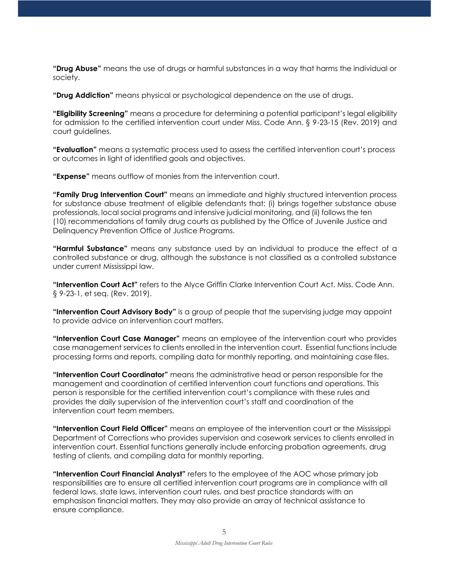**"Drug Abuse"** means the use of drugs or harmful substances in a way that harms the individual or society.

**"Drug Addiction"** means physical or psychological dependence on the use of drugs.

**"Eligibility Screening"** means a procedure for determining a potential participant's legal eligibility for admission to the certified intervention court under Miss. Code Ann. § 9-23-15 (Rev. 2019) and court guidelines.

**"Evaluation"** means a systematic process used to assess the certified intervention court's process or outcomes in light of identified goals and objectives.

**"Expense"** means outflow of monies from the intervention court.

**"Family Drug Intervention Court"** means an immediate and highly structured intervention process for substance abuse treatment of eligible defendants that: (i) brings together substance abuse professionals, local social programs and intensive judicial monitoring, and (ii) follows the ten (10) recommendations of family drug courts as published by the Office of Juvenile Justice and Delinquency Prevention Office of Justice Programs.

**"Harmful Substance"** means any substance used by an individual to produce the effect of a controlled substance or drug, although the substance is not classified as a controlled substance under current Mississippi law.

**"Intervention Court Act"** refers to the Alyce Griffin Clarke Intervention Court Act. Miss. Code Ann. § 9-23-1, et seq. (Rev. 2019).

**"Intervention Court Advisory Body"** is a group of people that the supervising judge may appoint to provide advice on intervention court matters.

**"Intervention Court Case Manager"** means an employee of the intervention court who provides case management services to clients enrolled in the intervention court. Essential functions include processing forms and reports, compiling data for monthly reporting, and maintaining case files.

**"Intervention Court Coordinator"** means the administrative head or person responsible for the management and coordination of certified intervention court functions and operations. This person is responsible for the certified intervention court's compliance with these rules and provides the daily supervision of the intervention court's staff and coordination of the intervention court team members.

**"Intervention Court Field Officer"** means an employee of the intervention court or the Mississippi Department of Corrections who provides supervision and casework services to clients enrolled in intervention court. Essential functions generally include enforcing probation agreements, drug testing of clients, and compiling data for monthly reporting.

**"Intervention Court Financial Analyst"** refers to the employee of the AOC whose primary job responsibilities are to ensure all certified intervention court programs are in compliance with all federal laws, state laws, intervention court rules, and best practice standards with an emphasison financial matters. They may also provide an array of technical assistance to ensure compliance.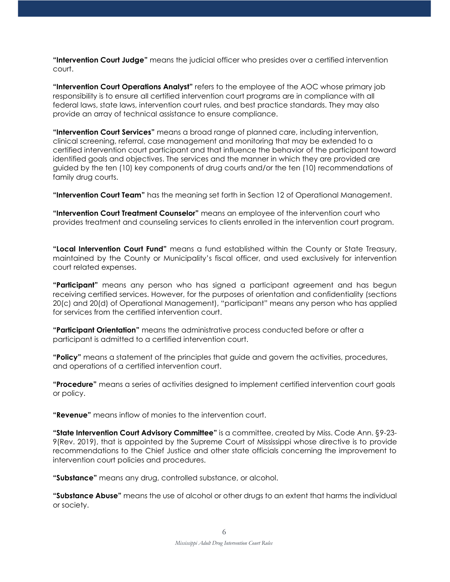**"Intervention Court Judge"** means the judicial officer who presides over a certified intervention court.

**"Intervention Court Operations Analyst"** refers to the employee of the AOC whose primary job responsibility is to ensure all certified intervention court programs are in compliance with all federal laws, state laws, intervention court rules, and best practice standards. They may also provide an array of technical assistance to ensure compliance.

**"Intervention Court Services"** means a broad range of planned care, including intervention, clinical screening, referral, case management and monitoring that may be extended to a certified intervention court participant and that influence the behavior of the participant toward identified goals and objectives. The services and the manner in which they are provided are guided by the ten (10) key components of drug courts and/or the ten (10) recommendations of family drug courts.

**"Intervention Court Team"** has the meaning set forth in Section 12 of Operational Management.

**"Intervention Court Treatment Counselor"** means an employee of the intervention court who provides treatment and counseling services to clients enrolled in the intervention court program.

**"Local Intervention Court Fund"** means a fund established within the County or State Treasury, maintained by the County or Municipality's fiscal officer, and used exclusively for intervention court related expenses.

**"Participant"** means any person who has signed a participant agreement and has begun receiving certified services. However, for the purposes of orientation and confidentiality (sections 20(c) and 20(d) of Operational Management), "participant" means any person who has applied for services from the certified intervention court.

**"Participant Orientation"** means the administrative process conducted before or after a participant is admitted to a certified intervention court.

**"Policy"** means a statement of the principles that guide and govern the activities, procedures, and operations of a certified intervention court.

**"Procedure"** means a series of activities designed to implement certified intervention court goals or policy.

**"Revenue"** means inflow of monies to the intervention court.

**"State Intervention Court Advisory Committee"** is a committee, created by Miss. Code Ann. §9-23- 9(Rev. 2019), that is appointed by the Supreme Court of Mississippi whose directive is to provide recommendations to the Chief Justice and other state officials concerning the improvement to intervention court policies and procedures.

**"Substance"** means any drug, controlled substance, or alcohol.

**"Substance Abuse"** means the use of alcohol or other drugs to an extent that harms the individual or society.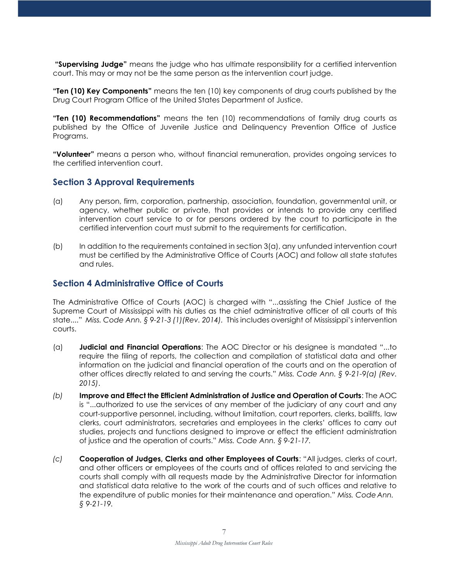**"Supervising Judge"** means the judge who has ultimate responsibility for a certified intervention court. This may or may not be the same person as the intervention court judge.

**"Ten (10) Key Components"** means the ten (10) key components of drug courts published by the Drug Court Program Office of the United States Department of Justice.

**"Ten (10) Recommendations"** means the ten (10) recommendations of family drug courts as published by the Office of Juvenile Justice and Delinquency Prevention Office of Justice Programs.

**"Volunteer"** means a person who, without financial remuneration, provides ongoing services to the certified intervention court.

#### **Section 3 Approval Requirements**

- (a) Any person, firm, corporation, partnership, association, foundation, governmental unit, or agency, whether public or private, that provides or intends to provide any certified intervention court service to or for persons ordered by the court to participate in the certified intervention court must submit to the requirements for certification.
- (b) In addition to the requirements contained in section 3(a), any unfunded intervention court must be certified by the Administrative Office of Courts (AOC) and follow all state statutes and rules.

#### **Section 4 Administrative Office of Courts**

The Administrative Office of Courts (AOC) is charged with "...assisting the Chief Justice of the Supreme Court of Mississippi with his duties as the chief administrative officer of all courts of this state...." *Miss. Code Ann. § 9-21-3 (1)(Rev. 2014).* This includes oversight of Mississippi's intervention courts.

- (a) **Judicial and Financial Operations**: The AOC Director or his designee is mandated "...to require the filing of reports, the collection and compilation of statistical data and other information on the judicial and financial operation of the courts and on the operation of other offices directly related to and serving the courts." *Miss. Code Ann. § 9-21-9(a) (Rev. 2015)*.
- *(b)* **Improve and Effect the Efficient Administration of Justice and Operation of Courts**: The AOC is "...authorized to use the services of any member of the judiciary of any court and any court-supportive personnel, including, without limitation, court reporters, clerks, bailiffs, law clerks, court administrators, secretaries and employees in the clerks' offices to carry out studies, projects and functions designed to improve or effect the efficient administration of justice and the operation of courts." *Miss. Code Ann. § 9-21-17.*
- *(c)* **Cooperation of Judges, Clerks and other Employees of Courts**: "All judges, clerks of court, and other officers or employees of the courts and of offices related to and servicing the courts shall comply with all requests made by the Administrative Director for information and statistical data relative to the work of the courts and of such offices and relative to the expenditure of public monies for their maintenance and operation." *Miss. Code Ann. § 9-21-19.*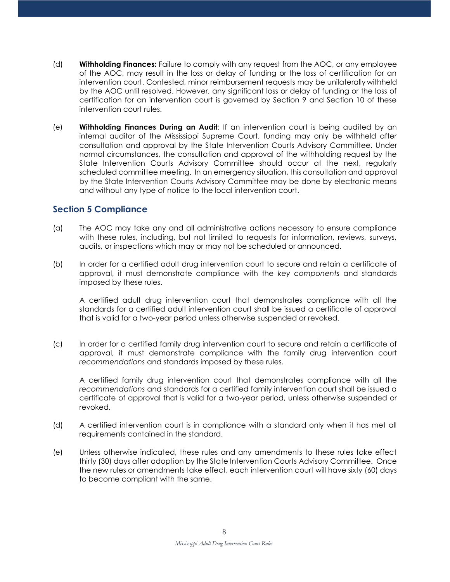- (d) **Withholding Finances:** Failure to comply with any request from the AOC, or any employee of the AOC, may result in the loss or delay of funding or the loss of certification for an intervention court. Contested, minor reimbursement requests may be unilaterally withheld by the AOC until resolved. However, any significant loss or delay of funding or the loss of certification for an intervention court is governed by Section 9 and Section 10 of these intervention court rules.
- (e) **Withholding Finances During an Audit**: If an intervention court is being audited by an internal auditor of the Mississippi Supreme Court, funding may only be withheld after consultation and approval by the State Intervention Courts Advisory Committee. Under normal circumstances, the consultation and approval of the withholding request by the State Intervention Courts Advisory Committee should occur at the next, regularly scheduled committee meeting. In an emergency situation, this consultation and approval by the State Intervention Courts Advisory Committee may be done by electronic means and without any type of notice to the local intervention court.

## **Section 5 Compliance**

- (a) The AOC may take any and all administrative actions necessary to ensure compliance with these rules, including, but not limited to requests for information, reviews, surveys, audits, or inspections which may or may not be scheduled or announced.
- (b) In order for a certified adult drug intervention court to secure and retain a certificate of approval, it must demonstrate compliance with the *key components* and standards imposed by these rules.

A certified adult drug intervention court that demonstrates compliance with all the standards for a certified adult intervention court shall be issued a certificate of approval that is valid for a two-year period unless otherwise suspended or revoked.

(c) In order for a certified family drug intervention court to secure and retain a certificate of approval, it must demonstrate compliance with the family drug intervention court *recommendations* and standards imposed by these rules.

A certified family drug intervention court that demonstrates compliance with all the *recommendations* and standards for a certified family intervention court shall be issued a certificate of approval that is valid for a two-year period, unless otherwise suspended or revoked.

- (d) A certified intervention court is in compliance with a standard only when it has met all requirements contained in the standard.
- (e) Unless otherwise indicated, these rules and any amendments to these rules take effect thirty (30) days after adoption by the State Intervention Courts Advisory Committee. Once the new rules or amendments take effect, each intervention court will have sixty (60) days to become compliant with the same.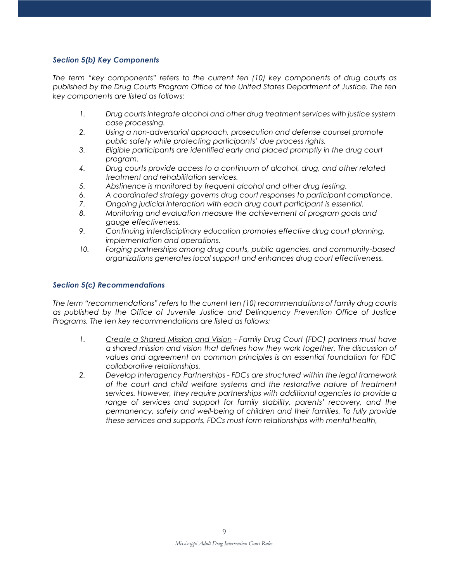#### *Section 5(b) Key Components*

*The term "key components" refers to the current ten (10) key components of drug courts as published by the Drug Courts Program Office of the United States Department of Justice. The ten key components are listed as follows:*

- *1. Drug courts integrate alcohol and other drug treatment services with justice system case processing.*
- *2. Using a non-adversarial approach, prosecution and defense counsel promote public safety while protecting participants' due process rights.*
- *3. Eligible participants are identified early and placed promptly in the drug court program.*
- *4. Drug courts provide access to a continuum of alcohol, drug, and other related treatment and rehabilitation services.*
- *5. Abstinence is monitored by frequent alcohol and other drug testing.*
- *6. A coordinated strategy governs drug court responses to participant compliance.*
- *7. Ongoing judicial interaction with each drug court participant is essential.*
- *8. Monitoring and evaluation measure the achievement of program goals and gauge effectiveness.*
- *9. Continuing interdisciplinary education promotes effective drug court planning, implementation and operations.*
- *10. Forging partnerships among drug courts, public agencies, and community-based organizations generates local support and enhances drug court effectiveness.*

#### *Section 5(c) Recommendations*

*The term "recommendations" refers to the current ten (10) recommendations of family drug courts as published by the Office of Juvenile Justice and Delinquency Prevention Office of Justice Programs. The ten key recommendations are listed as follows:*

- *1. Create a Shared Mission and Vision - Family Drug Court (FDC) partners must have a shared mission and vision that defines how they work together. The discussion of values and agreement on common principles is an essential foundation for FDC collaborative relationships.*
- *2. Develop Interagency Partnerships - FDCs are structured within the legal framework of the court and child welfare systems and the restorative nature of treatment services. However, they require partnerships with additional agencies to provide a range of services and support for family stability, parents' recovery, and the permanency, safety and well-being of children and their families. To fully provide these services and supports, FDCs must form relationships with mental health,*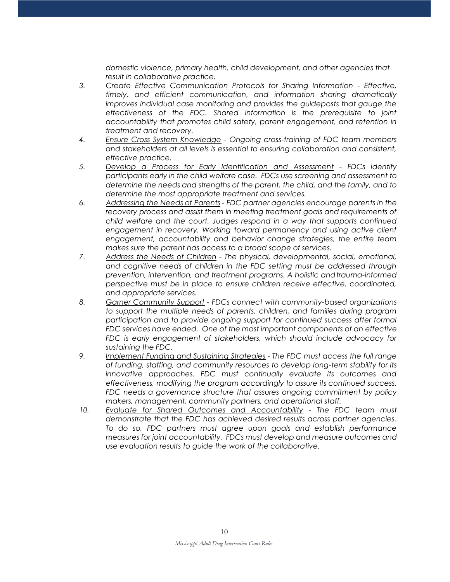*domestic violence, primary health, child development, and other agencies that result in collaborative practice.*

- *3. Create Effective Communication Protocols for Sharing Information - Effective, timely, and efficient communication, and information sharing dramatically improves individual case monitoring and provides the guideposts that gauge the effectiveness of the FDC. Shared information is the prerequisite to joint accountability that promotes child safety, parent engagement, and retention in treatment and recovery.*
- *4. Ensure Cross System Knowledge - Ongoing cross-training of FDC team members and stakeholders at all levels is essential to ensuring collaboration and consistent, effective practice.*
- *5. Develop a Process for Early Identification and Assessment - FDCs identify participants early in the child welfare case. FDCs use screening and assessment to determine the needs and strengths of the parent, the child, and the family, and to determine the most appropriate treatment and services.*
- *6. Addressing the Needs of Parents - FDC partner agencies encourage parents in the recovery process and assist them in meeting treatment goals and requirements of child welfare and the court. Judges respond in a way that supports continued*  engagement in recovery. Working toward permanency and using active client *engagement, accountability and behavior change strategies, the entire team makes sure the parent has access to a broad scope of services.*
- *7. Address the Needs of Children - The physical, developmental, social, emotional, and cognitive needs of children in the FDC setting must be addressed through prevention, intervention, and treatment programs. A holistic andtrauma-informed perspective must be in place to ensure children receive effective, coordinated, and appropriate services.*
- *8. Garner Community Support - FDCs connect with community-based organizations to support the multiple needs of parents, children, and families during program participation and to provide ongoing support for continued success after formal FDC services have ended. One of the most important components of an effective FDC is early engagement of stakeholders, which should include advocacy for sustaining the FDC.*
- *9. Implement Funding and Sustaining Strategies - The FDC must access the full range of funding, staffing, and community resources to develop long-term stability for its innovative approaches. FDC must continually evaluate its outcomes and effectiveness, modifying the program accordingly to assure its continued success. FDC needs a governance structure that assures ongoing commitment by policy makers, management, community partners, and operational staff.*
- *10. Evaluate for Shared Outcomes and Accountability - The FDC team must demonstrate that the FDC has achieved desired results across partner agencies. To do so, FDC partners must agree upon goals and establish performance measures for joint accountability. FDCs must develop and measure outcomes and use evaluation results to guide the work of the collaborative.*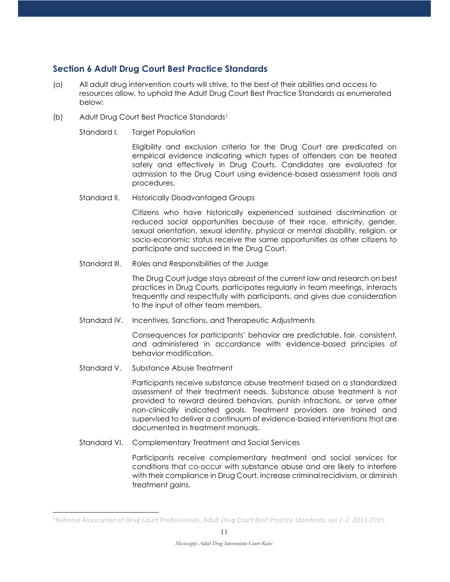## **Section 6 Adult Drug Court Best Practice Standards**

- (a) All adult drug intervention courts will strive, to the best of their abilities and access to resources allow, to uphold the Adult Drug Court Best Practice Standards as enumerated below:
- (b) Adult Drug Court Be[s](#page-10-0)t Practice Standards<sup>1</sup>
	- Standard I. Target Population

Eligibility and exclusion criteria for the Drug Court are predicated on empirical evidence indicating which types of offenders can be treated safely and effectively in Drug Courts. Candidates are evaluated for admission to the Drug Court using evidence-based assessment tools and procedures.

Standard II. Historically Disadvantaged Groups

Citizens who have historically experienced sustained discrimination or reduced social opportunities because of their race, ethnicity, gender, sexual orientation, sexual identity, physical or mental disability, religion, or socio-economic status receive the same opportunities as other citizens to participate and succeed in the Drug Court.

Standard III. Roles and Responsibilities of the Judge

The Drug Court judge stays abreast of the current law and research on best practices in Drug Courts, participates regularly in team meetings, interacts frequently and respectfully with participants, and gives due consideration to the input of other team members.

Standard IV. Incentives, Sanctions, and Therapeutic Adjustments

Consequences for participants' behavior are predictable, fair, consistent, and administered in accordance with evidence-based principles of behavior modification.

Standard V. Substance Abuse Treatment

Participants receive substance abuse treatment based on a standardized assessment of their treatment needs. Substance abuse treatment is not provided to reward desired behaviors, punish infractions, or serve other non-clinically indicated goals. Treatment providers are trained and supervised to deliver a continuum of evidence-based interventions that are documented in treatment manuals.

Standard VI. Complementary Treatment and Social Services

Participants receive complementary treatment and social services for conditions that co-occur with substance abuse and are likely to interfere with their compliance in Drug Court, increase criminal recidivism, or diminish treatment gains.

<span id="page-10-0"></span><sup>1</sup>National Association of Drug Court Professionals, *Adult Drug Court Best Practice Standards, vol 1-2, 2013-2015.*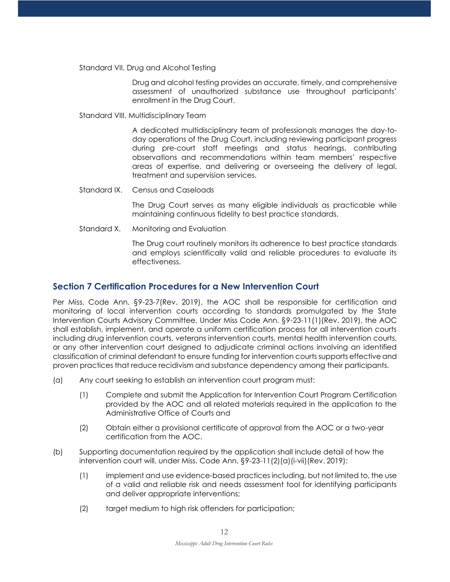Standard VII. Drug and Alcohol Testing

Drug and alcohol testing provides an accurate, timely, and comprehensive assessment of unauthorized substance use throughout participants' enrollment in the Drug Court.

Standard VIII. Multidisciplinary Team

A dedicated multidisciplinary team of professionals manages the day-today operations of the Drug Court, including reviewing participant progress during pre-court staff meetings and status hearings, contributing observations and recommendations within team members' respective areas of expertise, and delivering or overseeing the delivery of legal, treatment and supervision services.

Standard IX. Census and Caseloads

The Drug Court serves as many eligible individuals as practicable while maintaining continuous fidelity to best practice standards.

Standard X. Monitoring and Evaluation

The Drug court routinely monitors its adherence to best practice standards and employs scientifically valid and reliable procedures to evaluate its effectiveness.

#### **Section 7 Certification Procedures for a New Intervention Court**

Per Miss. Code Ann. §9-23-7(Rev. 2019), the AOC shall be responsible for certification and monitoring of local intervention courts according to standards promulgated by the State Intervention Courts Advisory Committee. Under Miss Code Ann. §9-23-11(1)(Rev. 2019), the AOC shall establish, implement, and operate a uniform certification process for all intervention courts including drug intervention courts, veterans intervention courts, mental health intervention courts, or any other intervention court designed to adjudicate criminal actions involving an identified classification of criminal defendant to ensure funding for intervention courtssupports effective and proven practices that reduce recidivism and substance dependency among their participants.

- (a) Any court seeking to establish an intervention court program must:
	- (1) Complete and submit the Application for Intervention Court Program Certification provided by the AOC and all related materials required in the application to the Administrative Office of Courts and
	- (2) Obtain either a provisional certificate of approval from the AOC or a two-year certification from the AOC.
- (b) Supporting documentation required by the application shall include detail of how the intervention court will, under Miss. Code Ann. §9-23-11(2)(a)(i-vii)(Rev. 2019):
	- (1) implement and use evidence-based practices including, but not limited to, the use of a valid and reliable risk and needs assessment tool for identifying participants and deliver appropriate interventions;
	- (2) target medium to high risk offenders for participation;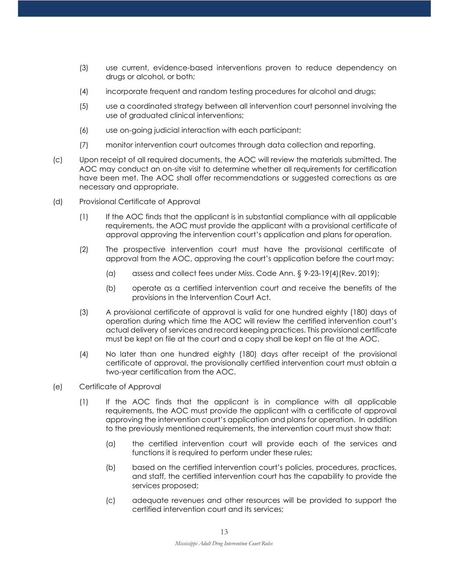- (3) use current, evidence-based interventions proven to reduce dependency on drugs or alcohol, or both;
- (4) incorporate frequent and random testing procedures for alcohol and drugs;
- (5) use a coordinated strategy between all intervention court personnel involving the use of graduated clinical interventions;
- (6) use on-going judicial interaction with each participant;
- (7) monitor intervention court outcomes through data collection and reporting.
- (c) Upon receipt of all required documents, the AOC will review the materials submitted. The AOC may conduct an on-site visit to determine whether all requirements for certification have been met. The AOC shall offer recommendations or suggested corrections as are necessary and appropriate.
- (d) Provisional Certificate of Approval
	- (1) If the AOC finds that the applicant is in substantial compliance with all applicable requirements, the AOC must provide the applicant with a provisional certificate of approval approving the intervention court's application and plans for operation.
	- (2) The prospective intervention court must have the provisional certificate of approval from the AOC, approving the court's application before the court may:
		- (a) assess and collect fees under Miss. Code Ann. § 9-23-19(4)(Rev. 2019);
		- (b) operate as a certified intervention court and receive the benefits of the provisions in the Intervention Court Act.
	- (3) A provisional certificate of approval is valid for one hundred eighty (180) days of operation during which time the AOC will review the certified intervention court's actual delivery of services and record keeping practices. This provisional certificate must be kept on file at the court and a copy shall be kept on file at the AOC.
	- (4) No later than one hundred eighty (180) days after receipt of the provisional certificate of approval, the provisionally certified intervention court must obtain a two-year certification from the AOC.
- (e) Certificate of Approval
	- (1) If the AOC finds that the applicant is in compliance with all applicable requirements, the AOC must provide the applicant with a certificate of approval approving the intervention court's application and plans for operation. In addition to the previously mentioned requirements, the intervention court must show that:
		- (a) the certified intervention court will provide each of the services and functions it is required to perform under these rules;
		- (b) based on the certified intervention court's policies, procedures, practices, and staff, the certified intervention court has the capability to provide the services proposed;
		- (c) adequate revenues and other resources will be provided to support the certified intervention court and its services;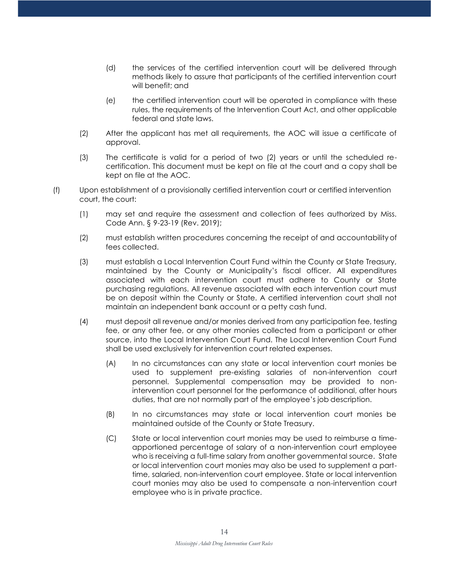- (d) the services of the certified intervention court will be delivered through methods likely to assure that participants of the certified intervention court will benefit; and
- (e) the certified intervention court will be operated in compliance with these rules, the requirements of the Intervention Court Act, and other applicable federal and state laws.
- (2) After the applicant has met all requirements, the AOC will issue a certificate of approval.
- (3) The certificate is valid for a period of two (2) years or until the scheduled recertification. This document must be kept on file at the court and a copy shall be kept on file at the AOC.
- (f) Upon establishment of a provisionally certified intervention court or certified intervention court, the court:
	- (1) may set and require the assessment and collection of fees authorized by Miss. Code Ann. § 9-23-19 (Rev. 2019);
	- (2) must establish written procedures concerning the receipt of and accountability of fees collected.
	- (3) must establish a Local Intervention Court Fund within the County or State Treasury, maintained by the County or Municipality's fiscal officer. All expenditures associated with each intervention court must adhere to County or State purchasing regulations. All revenue associated with each intervention court must be on deposit within the County or State. A certified intervention court shall not maintain an independent bank account or a petty cash fund.
	- (4) must deposit all revenue and/or monies derived from any participation fee, testing fee, or any other fee, or any other monies collected from a participant or other source, into the Local Intervention Court Fund. The Local Intervention Court Fund shall be used exclusively for intervention court related expenses.
		- (A) In no circumstances can any state or local intervention court monies be used to supplement pre-existing salaries of non-intervention court personnel. Supplemental compensation may be provided to nonintervention court personnel for the performance of additional, after hours duties, that are not normally part of the employee's job description.
		- (B) In no circumstances may state or local intervention court monies be maintained outside of the County or State Treasury.
		- (C) State or local intervention court monies may be used to reimburse a timeapportioned percentage of salary of a non-intervention court employee who is receiving a full-time salary from another governmental source. State or local intervention court monies may also be used to supplement a parttime, salaried, non-intervention court employee. State or local intervention court monies may also be used to compensate a non-intervention court employee who is in private practice.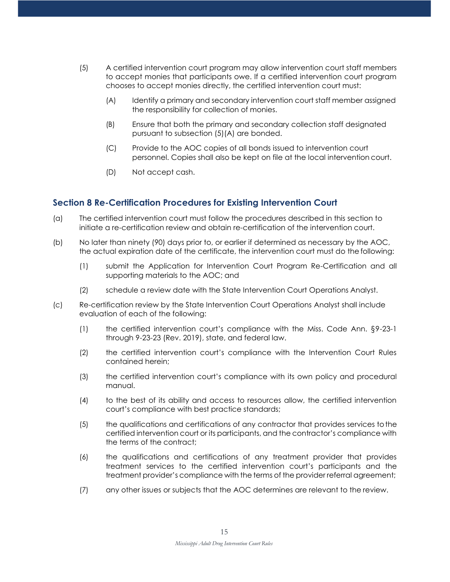- (5) A certified intervention court program may allow intervention court staff members to accept monies that participants owe. If a certified intervention court program chooses to accept monies directly, the certified intervention court must:
	- (A) Identify a primary and secondary intervention court staff member assigned the responsibility for collection of monies.
	- (B) Ensure that both the primary and secondary collection staff designated pursuant to subsection (5)(A) are bonded.
	- (C) Provide to the AOC copies of all bonds issued to intervention court personnel. Copies shall also be kept on file at the local intervention court.
	- (D) Not accept cash.

## **Section 8 Re-Certification Procedures for Existing Intervention Court**

- (a) The certified intervention court must follow the procedures described in this section to initiate a re-certification review and obtain re-certification of the intervention court.
- (b) No later than ninety (90) days prior to, or earlier if determined as necessary by the AOC, the actual expiration date of the certificate, the intervention court must do the following:
	- (1) submit the Application for Intervention Court Program Re-Certification and all supporting materials to the AOC; and
	- (2) schedule a review date with the State Intervention Court Operations Analyst.
- (c) Re-certification review by the State Intervention Court Operations Analyst shall include evaluation of each of the following:
	- (1) the certified intervention court's compliance with the Miss. Code Ann. §9-23-1 through 9-23-23 (Rev. 2019), state, and federal law.
	- (2) the certified intervention court's compliance with the Intervention Court Rules contained herein;
	- (3) the certified intervention court's compliance with its own policy and procedural manual.
	- (4) to the best of its ability and access to resources allow, the certified intervention court's compliance with best practice standards;
	- (5) the qualifications and certifications of any contractor that provides services tothe certified intervention court or its participants, and the contractor's compliance with the terms of the contract;
	- (6) the qualifications and certifications of any treatment provider that provides treatment services to the certified intervention court's participants and the treatment provider's compliance with the terms of the provider referral agreement;
	- (7) any other issues or subjects that the AOC determines are relevant to the review.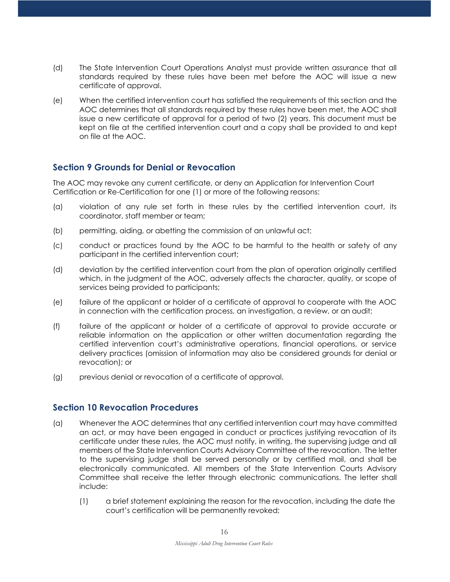- (d) The State Intervention Court Operations Analyst must provide written assurance that all standards required by these rules have been met before the AOC will issue a new certificate of approval.
- (e) When the certified intervention court has satisfied the requirements of this section and the AOC determines that all standards required by these rules have been met, the AOC shall issue a new certificate of approval for a period of two (2) years. This document must be kept on file at the certified intervention court and a copy shall be provided to and kept on file at the AOC.

## **Section 9 Grounds for Denial or Revocation**

The AOC may revoke any current certificate, or deny an Application for Intervention Court Certification or Re-Certification for one (1) or more of the following reasons:

- (a) violation of any rule set forth in these rules by the certified intervention court, its coordinator, staff member or team;
- (b) permitting, aiding, or abetting the commission of an unlawful act;
- (c) conduct or practices found by the AOC to be harmful to the health or safety of any participant in the certified intervention court;
- (d) deviation by the certified intervention court from the plan of operation originally certified which, in the judgment of the AOC, adversely affects the character, quality, or scope of services being provided to participants;
- (e) failure of the applicant or holder of a certificate of approval to cooperate with the AOC in connection with the certification process, an investigation, a review, or an audit;
- (f) failure of the applicant or holder of a certificate of approval to provide accurate or reliable information on the application or other written documentation regarding the certified intervention court's administrative operations, financial operations, or service delivery practices (omission of information may also be considered grounds for denial or revocation); or
- (g) previous denial or revocation of a certificate of approval.

## **Section 10 Revocation Procedures**

- (a) Whenever the AOC determines that any certified intervention court may have committed an act, or may have been engaged in conduct or practices justifying revocation of its certificate under these rules, the AOC must notify, in writing, the supervising judge and all members of the State Intervention Courts Advisory Committee of the revocation. The letter to the supervising judge shall be served personally or by certified mail, and shall be electronically communicated. All members of the State Intervention Courts Advisory Committee shall receive the letter through electronic communications. The letter shall include:
	- (1) a brief statement explaining the reason for the revocation, including the date the court's certification will be permanently revoked;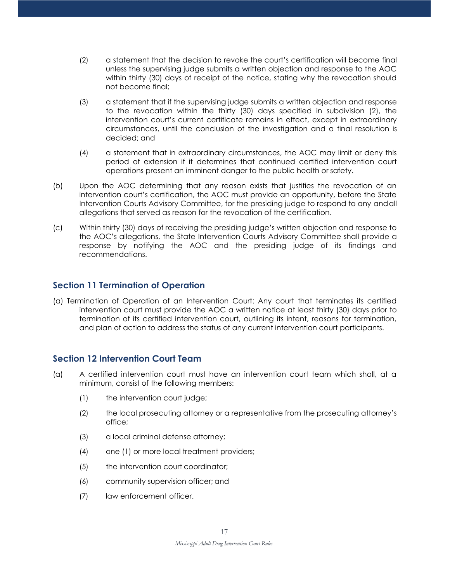- (2) a statement that the decision to revoke the court's certification will become final unless the supervising judge submits a written objection and response to the AOC within thirty (30) days of receipt of the notice, stating why the revocation should not become final;
- (3) a statement that if the supervising judge submits a written objection and response to the revocation within the thirty (30) days specified in subdivision (2), the intervention court's current certificate remains in effect, except in extraordinary circumstances, until the conclusion of the investigation and a final resolution is decided; and
- (4) a statement that in extraordinary circumstances, the AOC may limit or deny this period of extension if it determines that continued certified intervention court operations present an imminent danger to the public health or safety.
- (b) Upon the AOC determining that any reason exists that justifies the revocation of an intervention court's certification, the AOC must provide an opportunity, before the State Intervention Courts Advisory Committee, for the presiding judge to respond to any andall allegations that served as reason for the revocation of the certification.
- (c) Within thirty (30) days of receiving the presiding judge's written objection and response to the AOC's allegations, the State Intervention Courts Advisory Committee shall provide a response by notifying the AOC and the presiding judge of its findings and recommendations.

## **Section 11 Termination of Operation**

(a) Termination of Operation of an Intervention Court: Any court that terminates its certified intervention court must provide the AOC a written notice at least thirty (30) days prior to termination of its certified intervention court, outlining its intent, reasons for termination, and plan of action to address the status of any current intervention court participants.

## **Section 12 Intervention Court Team**

- (a) A certified intervention court must have an intervention court team which shall, at a minimum, consist of the following members:
	- (1) the intervention court judge;
	- (2) the local prosecuting attorney or a representative from the prosecuting attorney's office;
	- (3) a local criminal defense attorney;
	- (4) one (1) or more local treatment providers;
	- (5) the intervention court coordinator;
	- (6) community supervision officer; and
	- (7) law enforcement officer.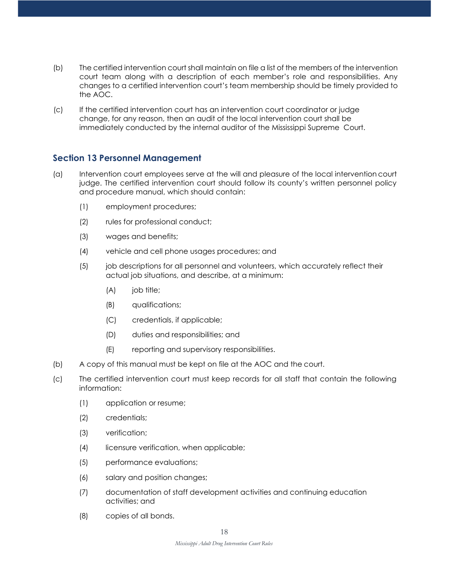- (b) The certified intervention court shall maintain on file a list of the members of the intervention court team along with a description of each member's role and responsibilities. Any changes to a certified intervention court's team membership should be timely provided to the AOC.
- (c) If the certified intervention court has an intervention court coordinator or judge change, for any reason, then an audit of the local intervention court shall be immediately conducted by the internal auditor of the Mississippi Supreme Court.

## **Section 13 Personnel Management**

- (a) Intervention court employees serve at the will and pleasure of the local intervention court judge. The certified intervention court should follow its county's written personnel policy and procedure manual, which should contain:
	- (1) employment procedures;
	- (2) rules for professional conduct;
	- (3) wages and benefits;
	- (4) vehicle and cell phone usages procedures; and
	- (5) job descriptions for all personnel and volunteers, which accurately reflect their actual job situations, and describe, at a minimum:
		- (A) job title;
		- (B) qualifications;
		- (C) credentials, if applicable;
		- (D) duties and responsibilities; and
		- (E) reporting and supervisory responsibilities.
- (b) A copy of this manual must be kept on file at the AOC and the court.
- (c) The certified intervention court must keep records for all staff that contain the following information:
	- (1) application or resume;
	- (2) credentials;
	- (3) verification;
	- (4) licensure verification, when applicable;
	- (5) performance evaluations;
	- (6) salary and position changes;
	- (7) documentation of staff development activities and continuing education activities; and
	- (8) copies of all bonds.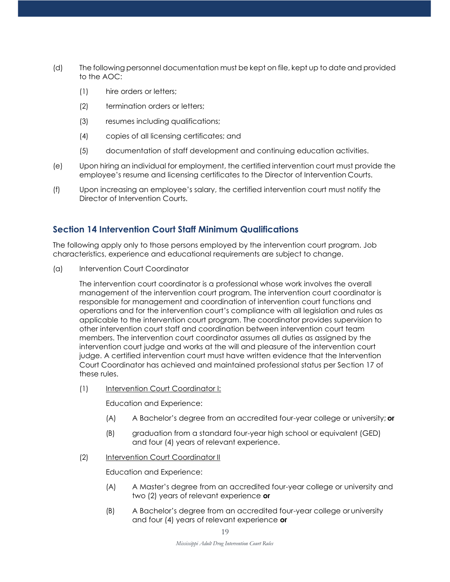- (d) The following personnel documentation must be kept on file, kept up to date and provided to the AOC:
	- (1) hire orders or letters;
	- (2) termination orders or letters;
	- (3) resumes including qualifications;
	- (4) copies of all licensing certificates; and
	- (5) documentation of staff development and continuing education activities.
- (e) Upon hiring an individual for employment, the certified intervention court must provide the employee's resume and licensing certificates to the Director of Intervention Courts.
- (f) Upon increasing an employee's salary, the certified intervention court must notify the Director of Intervention Courts.

## **Section 14 Intervention Court Staff Minimum Qualifications**

The following apply only to those persons employed by the intervention court program. Job characteristics, experience and educational requirements are subject to change.

(a) Intervention Court Coordinator

The intervention court coordinator is a professional whose work involves the overall management of the intervention court program. The intervention court coordinator is responsible for management and coordination of intervention court functions and operations and for the intervention court's compliance with all legislation and rules as applicable to the intervention court program. The coordinator provides supervision to other intervention court staff and coordination between intervention court team members. The intervention court coordinator assumes all duties as assigned by the intervention court judge and works at the will and pleasure of the intervention court judge. A certified intervention court must have written evidence that the Intervention Court Coordinator has achieved and maintained professional status per Section 17 of these rules.

(1) Intervention Court Coordinator I:

Education and Experience:

- (A) A Bachelor's degree from an accredited four-year college or university; **or**
- (B) graduation from a standard four-year high school or equivalent (GED) and four (4) years of relevant experience.

#### (2) Intervention Court Coordinator II

Education and Experience:

- (A) A Master's degree from an accredited four-year college or university and two (2) years of relevant experience **or**
- (B) A Bachelor's degree from an accredited four-year college or university and four (4) years of relevant experience **or**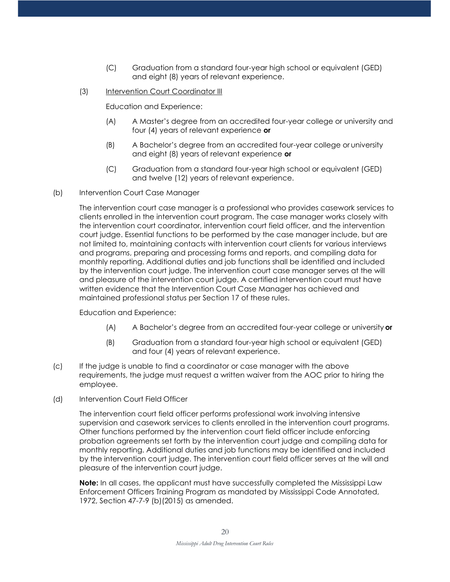- (C) Graduation from a standard four-year high school or equivalent (GED) and eight (8) years of relevant experience.
- (3) Intervention Court Coordinator III

Education and Experience:

- (A) A Master's degree from an accredited four-year college or university and four (4) years of relevant experience **or**
- (B) A Bachelor's degree from an accredited four-year college or university and eight (8) years of relevant experience **or**
- (C) Graduation from a standard four-year high school or equivalent (GED) and twelve (12) years of relevant experience.
- (b) Intervention Court Case Manager

The intervention court case manager is a professional who provides casework services to clients enrolled in the intervention court program. The case manager works closely with the intervention court coordinator, intervention court field officer, and the intervention court judge. Essential functions to be performed by the case manager include, but are not limited to, maintaining contacts with intervention court clients for various interviews and programs, preparing and processing forms and reports, and compiling data for monthly reporting. Additional duties and job functions shall be identified and included by the intervention court judge. The intervention court case manager serves at the will and pleasure of the intervention court judge. A certified intervention court must have written evidence that the Intervention Court Case Manager has achieved and maintained professional status per Section 17 of these rules.

Education and Experience:

- (A) A Bachelor's degree from an accredited four-year college or university **or**
- (B) Graduation from a standard four-year high school or equivalent (GED) and four (4) years of relevant experience.
- (c) If the judge is unable to find a coordinator or case manager with the above requirements, the judge must request a written waiver from the AOC prior to hiring the employee.
- (d) Intervention Court Field Officer

The intervention court field officer performs professional work involving intensive supervision and casework services to clients enrolled in the intervention court programs. Other functions performed by the intervention court field officer include enforcing probation agreements set forth by the intervention court judge and compiling data for monthly reporting. Additional duties and job functions may be identified and included by the intervention court judge. The intervention court field officer serves at the will and pleasure of the intervention court judge.

**Note:** In all cases, the applicant must have successfully completed the Mississippi Law Enforcement Officers Training Program as mandated by Mississippi Code Annotated, 1972, Section 47-7-9 (b)(2015) as amended.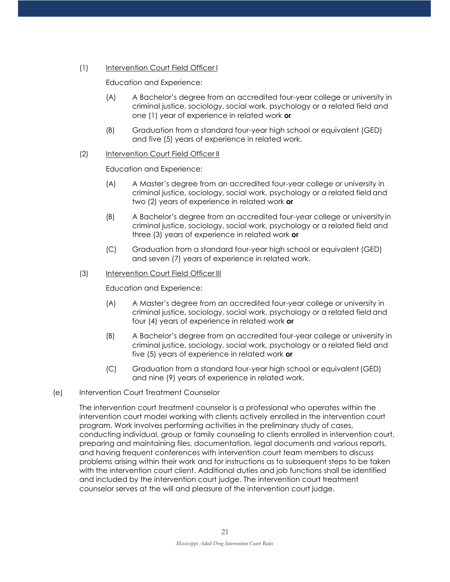#### (1) Intervention Court Field Officer I

Education and Experience:

- (A) A Bachelor's degree from an accredited four-year college or university in criminal justice, sociology, social work, psychology or a related field and one (1) year of experience in related work **or**
- (B) Graduation from a standard four-year high school or equivalent (GED) and five (5) years of experience in related work.

#### (2) Intervention Court Field Officer II

Education and Experience:

- (A) A Master's degree from an accredited four-year college or university in criminal justice, sociology, social work, psychology or a related field and two (2) years of experience in related work **or**
- (B) A Bachelor's degree from an accredited four-year college or universityin criminal justice, sociology, social work, psychology or a related field and three (3) years of experience in related work **or**
- (C) Graduation from a standard four-year high school or equivalent (GED) and seven (7) years of experience in related work.

#### (3) Intervention Court Field Officer III

Education and Experience:

- (A) A Master's degree from an accredited four-year college or university in criminal justice, sociology, social work, psychology or a related field and four (4) years of experience in related work **or**
- (B) A Bachelor's degree from an accredited four-year college or university in criminal justice, sociology, social work, psychology or a related field and five (5) years of experience in related work **or**
- (C) Graduation from a standard four-year high school or equivalent(GED) and nine (9) years of experience in related work.
- (e) Intervention Court Treatment Counselor

The intervention court treatment counselor is a professional who operates within the intervention court model working with clients actively enrolled in the intervention court program. Work involves performing activities in the preliminary study of cases, conducting individual, group or family counseling to clients enrolled in intervention court, preparing and maintaining files, documentation, legal documents and various reports, and having frequent conferences with intervention court team members to discuss problems arising within their work and for instructions as to subsequent steps to be taken with the intervention court client. Additional duties and job functions shall be identified and included by the intervention court judge. The intervention court treatment counselor serves at the will and pleasure of the intervention court judge.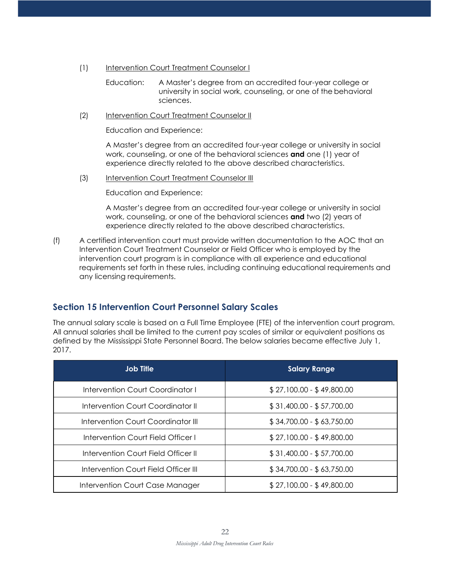- (1) Intervention Court Treatment Counselor I
	- Education: A Master's degree from an accredited four-year college or university in social work, counseling, or one of the behavioral sciences.
- (2) Intervention Court Treatment Counselor II

Education and Experience:

A Master's degree from an accredited four-year college or university in social work, counseling, or one of the behavioral sciences **and** one (1) year of experience directly related to the above described characteristics.

(3) Intervention Court Treatment Counselor III

Education and Experience:

A Master's degree from an accredited four-year college or university in social work, counseling, or one of the behavioral sciences **and** two (2) years of experience directly related to the above described characteristics.

(f) A certified intervention court must provide written documentation to the AOC that an Intervention Court Treatment Counselor or Field Officer who is employed by the intervention court program is in compliance with all experience and educational requirements set forth in these rules, including continuing educational requirements and any licensing requirements.

## **Section 15 Intervention Court Personnel Salary Scales**

The annual salary scale is based on a Full Time Employee (FTE) of the intervention court program. All annual salaries shall be limited to the current pay scales of similar or equivalent positions as defined by the Mississippi State Personnel Board. The below salaries became effective July 1, 2017.

| <b>Job Title</b>                     | <b>Salary Range</b>       |
|--------------------------------------|---------------------------|
| Intervention Court Coordinator I     | $$27,100.00 - $49,800.00$ |
| Intervention Court Coordinator II    | $$31,400.00 - $57,700.00$ |
| Intervention Court Coordinator III   | $$34,700.00 - $63,750.00$ |
| Intervention Court Field Officer I   | $$27,100.00 - $49,800.00$ |
| Intervention Court Field Officer II  | $$31,400.00 - $57,700.00$ |
| Intervention Court Field Officer III | $$34,700.00 - $63,750.00$ |
| Intervention Court Case Manager      | $$27,100.00 - $49,800.00$ |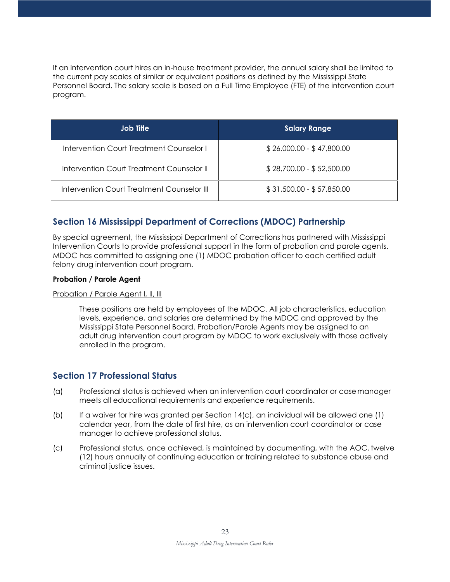If an intervention court hires an in-house treatment provider, the annual salary shall be limited to the current pay scales of similar or equivalent positions as defined by the Mississippi State Personnel Board. The salary scale is based on a Full Time Employee (FTE) of the intervention court program.

| <b>Job Title</b>                           | <b>Salary Range</b>       |
|--------------------------------------------|---------------------------|
| Intervention Court Treatment Counselor I   | $$26,000.00 - $47,800.00$ |
| Intervention Court Treatment Counselor II  | $$28,700.00 - $52,500.00$ |
| Intervention Court Treatment Counselor III | $$31,500.00 - $57,850.00$ |

## **Section 16 Mississippi Department of Corrections (MDOC) Partnership**

By special agreement, the Mississippi Department of Corrections has partnered with Mississippi Intervention Courts to provide professional support in the form of probation and parole agents. MDOC has committed to assigning one (1) MDOC probation officer to each certified adult felony drug intervention court program.

#### **Probation / Parole Agent**

#### Probation / Parole Agent I, II, III

These positions are held by employees of the MDOC. All job characteristics, education levels, experience, and salaries are determined by the MDOC and approved by the Mississippi State Personnel Board. Probation/Parole Agents may be assigned to an adult drug intervention court program by MDOC to work exclusively with those actively enrolled in the program.

## **Section 17 Professional Status**

- (a) Professional status is achieved when an intervention court coordinator or casemanager meets all educational requirements and experience requirements.
- (b) If a waiver for hire was granted per Section  $14(c)$ , an individual will be allowed one (1) calendar year, from the date of first hire, as an intervention court coordinator or case manager to achieve professional status.
- (c) Professional status, once achieved, is maintained by documenting, with the AOC, twelve (12) hours annually of continuing education or training related to substance abuse and criminal justice issues.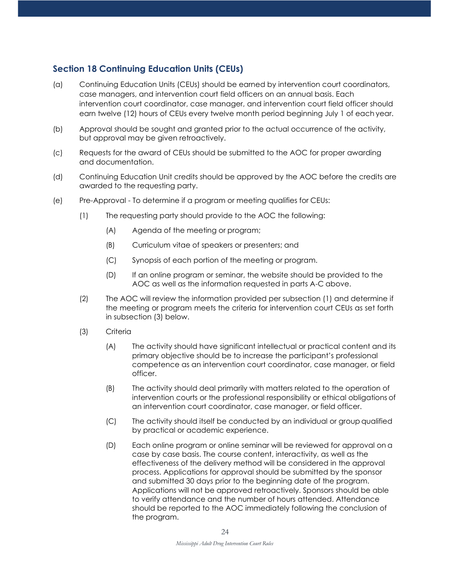## **Section 18 Continuing Education Units (CEUs)**

- (a) Continuing Education Units (CEUs) should be earned by intervention court coordinators, case managers, and intervention court field officers on an annual basis. Each intervention court coordinator, case manager, and intervention court field officer should earn twelve (12) hours of CEUs every twelve month period beginning July 1 of each year.
- (b) Approval should be sought and granted prior to the actual occurrence of the activity, but approval may be given retroactively.
- (c) Requests for the award of CEUs should be submitted to the AOC for proper awarding and documentation.
- (d) Continuing Education Unit credits should be approved by the AOC before the credits are awarded to the requesting party.
- (e) Pre-Approval To determine if a program or meeting qualifies for CEUs:
	- (1) The requesting party should provide to the AOC the following:
		- (A) Agenda of the meeting or program;
		- (B) Curriculum vitae of speakers or presenters; and
		- (C) Synopsis of each portion of the meeting or program.
		- (D) If an online program or seminar, the website should be provided to the AOC as well as the information requested in parts A-C above.
	- (2) The AOC will review the information provided per subsection (1) and determine if the meeting or program meets the criteria for intervention court CEUs as set forth in subsection (3) below.
	- (3) Criteria
		- (A) The activity should have significant intellectual or practical content and its primary objective should be to increase the participant's professional competence as an intervention court coordinator, case manager, or field officer.
		- (B) The activity should deal primarily with matters related to the operation of intervention courts or the professional responsibility or ethical obligations of an intervention court coordinator, case manager, or field officer.
		- (C) The activity should itself be conducted by an individual or group qualified by practical or academic experience.
		- (D) Each online program or online seminar will be reviewed for approval on a case by case basis. The course content, interactivity, as well as the effectiveness of the delivery method will be considered in the approval process. Applications for approval should be submitted by the sponsor and submitted 30 days prior to the beginning date of the program. Applications will not be approved retroactively. Sponsors should be able to verify attendance and the number of hours attended. Attendance should be reported to the AOC immediately following the conclusion of the program.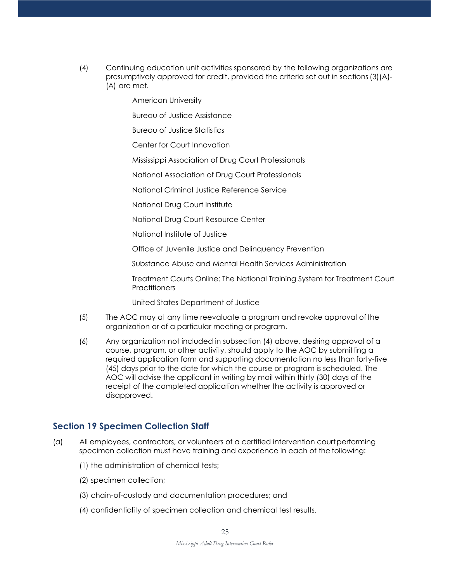- (4) Continuing education unit activities sponsored by the following organizations are presumptively approved for credit, provided the criteria set out in sections(3)(A)- (A) are met.
	- American University

Bureau of Justice Assistance

Bureau of Justice Statistics

Center for Court Innovation

Mississippi Association of Drug Court Professionals

National Association of Drug Court Professionals

National Criminal Justice Reference Service

National Drug Court Institute

National Drug Court Resource Center

National Institute of Justice

Office of Juvenile Justice and Delinquency Prevention

Substance Abuse and Mental Health Services Administration

Treatment Courts Online: The National Training System for Treatment Court **Practitioners** 

United States Department of Justice

- (5) The AOC may at any time reevaluate a program and revoke approval of the organization or of a particular meeting or program.
- (6) Any organization not included in subsection (4) above, desiring approval of a course, program, or other activity, should apply to the AOC by submitting a required application form and supporting documentation no less than forty-five (45) days prior to the date for which the course or program is scheduled. The AOC will advise the applicant in writing by mail within thirty (30) days of the receipt of the completed application whether the activity is approved or disapproved.

## **Section 19 Specimen Collection Staff**

- (a) All employees, contractors, or volunteers of a certified intervention courtperforming specimen collection must have training and experience in each of the following:
	- (1) the administration of chemical tests;
	- (2) specimen collection;
	- (3) chain-of-custody and documentation procedures; and
	- (4) confidentiality of specimen collection and chemical test results.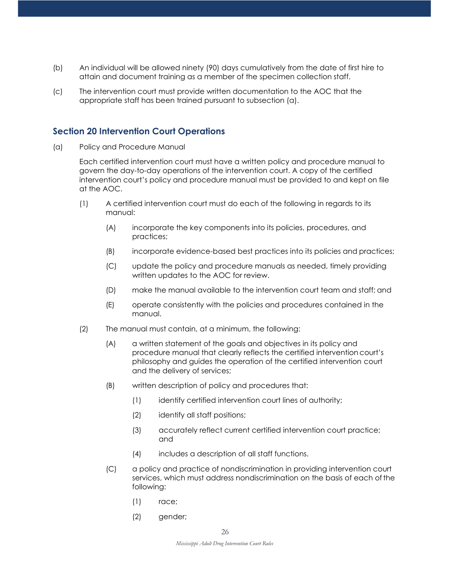- (b) An individual will be allowed ninety (90) days cumulatively from the date of first hire to attain and document training as a member of the specimen collection staff.
- (c) The intervention court must provide written documentation to the AOC that the appropriate staff has been trained pursuant to subsection (a).

#### **Section 20 Intervention Court Operations**

(a) Policy and Procedure Manual

Each certified intervention court must have a written policy and procedure manual to govern the day-to-day operations of the intervention court. A copy of the certified intervention court's policy and procedure manual must be provided to and kept on file at the AOC.

- (1) A certified intervention court must do each of the following in regards to its manual:
	- (A) incorporate the key components into its policies, procedures, and practices;
	- (B) incorporate evidence-based best practices into its policies and practices;
	- (C) update the policy and procedure manuals as needed, timely providing written updates to the AOC for review.
	- (D) make the manual available to the intervention court team and staff; and
	- (E) operate consistently with the policies and procedures contained in the manual.
- (2) The manual must contain, at a minimum, the following:
	- (A) a written statement of the goals and objectives in its policy and procedure manual that clearly reflects the certified intervention court's philosophy and guides the operation of the certified intervention court and the delivery of services;
	- (B) written description of policy and procedures that:
		- (1) identify certified intervention court lines of authority;
		- (2) identify all staff positions;
		- (3) accurately reflect current certified intervention court practice; and
		- (4) includes a description of all staff functions.
	- (C) a policy and practice of nondiscrimination in providing intervention court services, which must address nondiscrimination on the basis of each of the following:
		- (1) race;
		- (2) gender;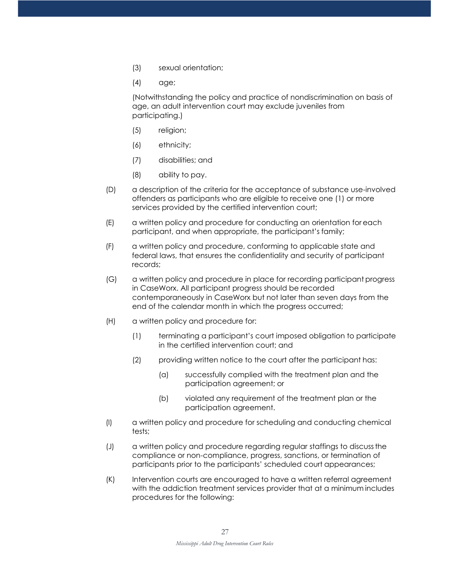- (3) sexual orientation;
- (4) age;

(Notwithstanding the policy and practice of nondiscrimination on basis of age, an adult intervention court may exclude juveniles from participating.)

- (5) religion;
- (6) ethnicity;
- (7) disabilities; and
- (8) ability to pay.
- (D) a description of the criteria for the acceptance of substance use-involved offenders as participants who are eligible to receive one (1) or more services provided by the certified intervention court;
- (E) a written policy and procedure for conducting an orientation for each participant, and when appropriate, the participant's family;
- (F) a written policy and procedure, conforming to applicable state and federal laws, that ensures the confidentiality and security of participant records;
- (G) a written policy and procedure in place for recording participant progress in CaseWorx. All participant progress should be recorded contemporaneously in CaseWorx but not later than seven days from the end of the calendar month in which the progress occurred;
- (H) a written policy and procedure for:
	- (1) terminating a participant's court imposed obligation to participate in the certified intervention court; and
	- (2) providing written notice to the court after the participant has:
		- (a) successfully complied with the treatment plan and the participation agreement; or
		- (b) violated any requirement of the treatment plan or the participation agreement.
- (I) a written policy and procedure for scheduling and conducting chemical tests;
- (J) a written policy and procedure regarding regular staffings to discussthe compliance or non-compliance, progress, sanctions, or termination of participants prior to the participants' scheduled court appearances;
- (K) Intervention courts are encouraged to have a written referral agreement with the addiction treatment services provider that at a minimum includes procedures for the following: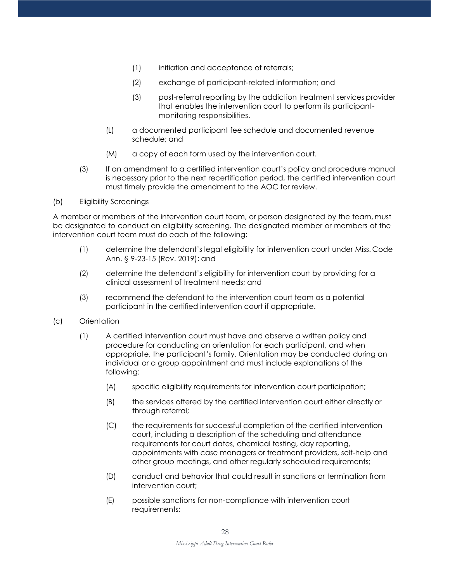- (1) initiation and acceptance of referrals;
- (2) exchange of participant-related information; and
- (3) post-referral reporting by the addiction treatment services provider that enables the intervention court to perform its participantmonitoring responsibilities.
- (L) a documented participant fee schedule and documented revenue schedule; and
- (M) a copy of each form used by the intervention court.
- (3) If an amendment to a certified intervention court's policy and procedure manual is necessary prior to the next recertification period, the certified intervention court must timely provide the amendment to the AOC for review.
- (b) Eligibility Screenings

A member or members of the intervention court team, or person designated by the team, must be designated to conduct an eligibility screening. The designated member or members of the intervention court team must do each of the following:

- (1) determine the defendant's legal eligibility for intervention court under Miss. Code Ann. § 9-23-15 (Rev. 2019); and
- (2) determine the defendant's eligibility for intervention court by providing for a clinical assessment of treatment needs; and
- (3) recommend the defendant to the intervention court team as a potential participant in the certified intervention court if appropriate.
- (c) Orientation
	- (1) A certified intervention court must have and observe a written policy and procedure for conducting an orientation for each participant, and when appropriate, the participant's family. Orientation may be conducted during an individual or a group appointment and must include explanations of the following:
		- (A) specific eligibility requirements for intervention court participation;
		- (B) the services offered by the certified intervention court either directly or through referral;
		- (C) the requirements for successful completion of the certified intervention court, including a description of the scheduling and attendance requirements for court dates, chemical testing, day reporting, appointments with case managers or treatment providers, self-help and other group meetings, and other regularly scheduled requirements;
		- (D) conduct and behavior that could result in sanctions or termination from intervention court;
		- (E) possible sanctions for non-compliance with intervention court requirements;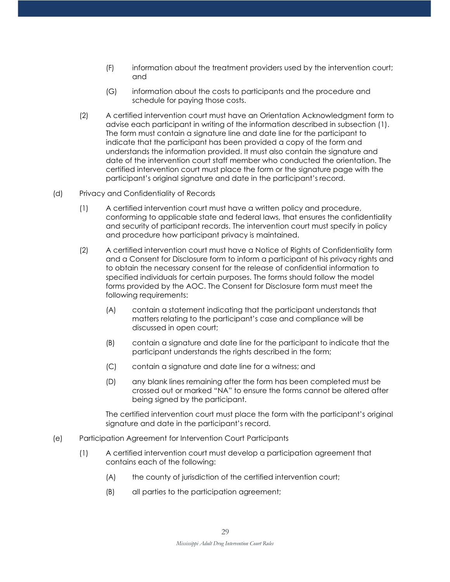- (F) information about the treatment providers used by the intervention court; and
- (G) information about the costs to participants and the procedure and schedule for paying those costs.
- (2) A certified intervention court must have an Orientation Acknowledgment form to advise each participant in writing of the information described in subsection (1). The form must contain a signature line and date line for the participant to indicate that the participant has been provided a copy of the form and understands the information provided. It must also contain the signature and date of the intervention court staff member who conducted the orientation. The certified intervention court must place the form or the signature page with the participant's original signature and date in the participant's record.
- (d) Privacy and Confidentiality of Records
	- (1) A certified intervention court must have a written policy and procedure, conforming to applicable state and federal laws, that ensures the confidentiality and security of participant records. The intervention court must specify in policy and procedure how participant privacy is maintained.
	- (2) A certified intervention court must have a Notice of Rights of Confidentiality form and a Consent for Disclosure form to inform a participant of his privacy rights and to obtain the necessary consent for the release of confidential information to specified individuals for certain purposes. The forms should follow the model forms provided by the AOC. The Consent for Disclosure form must meet the following requirements:
		- (A) contain a statement indicating that the participant understands that matters relating to the participant's case and compliance will be discussed in open court;
		- (B) contain a signature and date line for the participant to indicate that the participant understands the rights described in the form;
		- (C) contain a signature and date line for a witness; and
		- (D) any blank lines remaining after the form has been completed must be crossed out or marked "NA" to ensure the forms cannot be altered after being signed by the participant.

The certified intervention court must place the form with the participant's original signature and date in the participant's record.

- (e) Participation Agreement for Intervention Court Participants
	- (1) A certified intervention court must develop a participation agreement that contains each of the following:
		- (A) the county of jurisdiction of the certified intervention court;
		- (B) all parties to the participation agreement;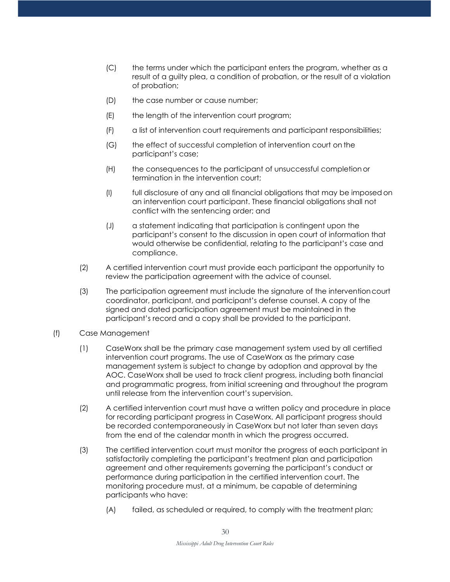- (C) the terms under which the participant enters the program, whether as a result of a guilty plea, a condition of probation, or the result of a violation of probation;
- (D) the case number or cause number;
- (E) the length of the intervention court program;
- (F) a list of intervention court requirements and participant responsibilities;
- (G) the effect of successful completion of intervention court on the participant's case;
- (H) the consequences to the participant of unsuccessful completionor termination in the intervention court;
- (I) full disclosure of any and all financial obligations that may be imposedon an intervention court participant. These financial obligations shall not conflict with the sentencing order; and
- (J) a statement indicating that participation is contingent upon the participant's consent to the discussion in open court of information that would otherwise be confidential, relating to the participant's case and compliance.
- (2) A certified intervention court must provide each participant the opportunity to review the participation agreement with the advice of counsel.
- (3) The participation agreement must include the signature of the interventioncourt coordinator, participant, and participant's defense counsel. A copy of the signed and dated participation agreement must be maintained in the participant's record and a copy shall be provided to the participant.
- (f) Case Management
	- (1) CaseWorx shall be the primary case management system used by all certified intervention court programs. The use of CaseWorx as the primary case management system is subject to change by adoption and approval by the AOC. CaseWorx shall be used to track client progress, including both financial and programmatic progress, from initial screening and throughout the program until release from the intervention court's supervision.
	- (2) A certified intervention court must have a written policy and procedure in place for recording participant progress in CaseWorx. All participant progress should be recorded contemporaneously in CaseWorx but not later than seven days from the end of the calendar month in which the progress occurred.
	- (3) The certified intervention court must monitor the progress of each participant in satisfactorily completing the participant's treatment plan and participation agreement and other requirements governing the participant's conduct or performance during participation in the certified intervention court. The monitoring procedure must, at a minimum, be capable of determining participants who have:
		- (A) failed, as scheduled or required, to comply with the treatment plan;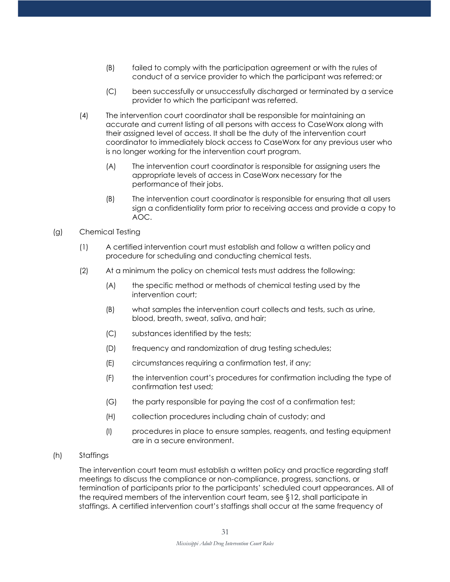- (B) failed to comply with the participation agreement or with the rules of conduct of a service provider to which the participant was referred;or
- (C) been successfully or unsuccessfully discharged or terminated by a service provider to which the participant was referred.
- (4) The intervention court coordinator shall be responsible for maintaining an accurate and current listing of all persons with access to CaseWorx along with their assigned level of access. It shall be the duty of the intervention court coordinator to immediately block access to CaseWorx for any previous user who is no longer working for the intervention court program.
	- (A) The intervention court coordinator is responsible for assigning users the appropriate levels of access in CaseWorx necessary for the performance of their jobs.
	- (B) The intervention court coordinator is responsible for ensuring that all users sign a confidentiality form prior to receiving access and provide a copy to AOC.
- (g) Chemical Testing
	- (1) A certified intervention court must establish and follow a written policy and procedure for scheduling and conducting chemical tests.
	- (2) At a minimum the policy on chemical tests must address the following:
		- (A) the specific method or methods of chemical testing used by the intervention court;
		- (B) what samples the intervention court collects and tests, such as urine, blood, breath, sweat, saliva, and hair;
		- (C) substances identified by the tests;
		- (D) frequency and randomization of drug testing schedules;
		- (E) circumstances requiring a confirmation test, if any;
		- (F) the intervention court's procedures for confirmation including the type of confirmation test used;
		- (G) the party responsible for paying the cost of a confirmation test;
		- (H) collection procedures including chain of custody; and
		- (I) procedures in place to ensure samples, reagents, and testing equipment are in a secure environment.
- (h) Staffings

The intervention court team must establish a written policy and practice regarding staff meetings to discuss the compliance or non-compliance, progress, sanctions, or termination of participants prior to the participants' scheduled court appearances. All of the required members of the intervention court team, see §12, shall participate in staffings. A certified intervention court's staffings shall occur at the same frequency of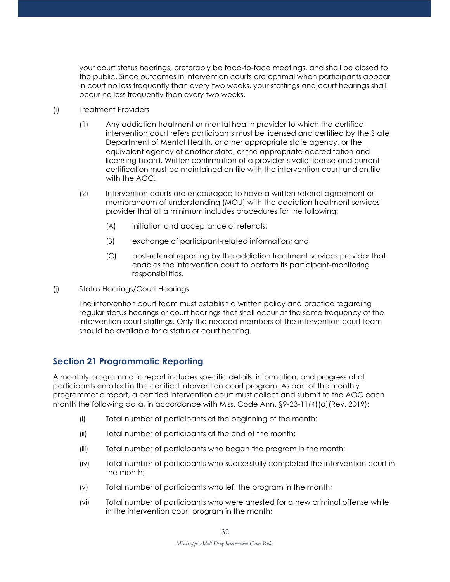your court status hearings, preferably be face-to-face meetings, and shall be closed to the public. Since outcomes in intervention courts are optimal when participants appear in court no less frequently than every two weeks, your staffings and court hearings shall occur no less frequently than every two weeks.

- (i) Treatment Providers
	- (1) Any addiction treatment or mental health provider to which the certified intervention court refers participants must be licensed and certified by the State Department of Mental Health, or other appropriate state agency, or the equivalent agency of another state, or the appropriate accreditation and licensing board. Written confirmation of a provider's valid license and current certification must be maintained on file with the intervention court and on file with the AOC.
	- (2) Intervention courts are encouraged to have a written referral agreement or memorandum of understanding (MOU) with the addiction treatment services provider that at a minimum includes procedures for the following:
		- (A) initiation and acceptance of referrals;
		- (B) exchange of participant-related information; and
		- (C) post-referral reporting by the addiction treatment services provider that enables the intervention court to perform its participant-monitoring responsibilities.
- (j) Status Hearings/Court Hearings

The intervention court team must establish a written policy and practice regarding regular status hearings or court hearings that shall occur at the same frequency of the intervention court staffings. Only the needed members of the intervention court team should be available for a status or court hearing.

## **Section 21 Programmatic Reporting**

A monthly programmatic report includes specific details, information, and progress of all participants enrolled in the certified intervention court program. As part of the monthly programmatic report, a certified intervention court must collect and submit to the AOC each month the following data, in accordance with Miss. Code Ann. §9-23-11(4)(a)(Rev. 2019):

- (i) Total number of participants at the beginning of the month;
- (ii) Total number of participants at the end of the month;
- (iii) Total number of participants who began the program in the month;
- (iv) Total number of participants who successfully completed the intervention court in the month;
- (v) Total number of participants who left the program in the month;
- (vi) Total number of participants who were arrested for a new criminal offense while in the intervention court program in the month;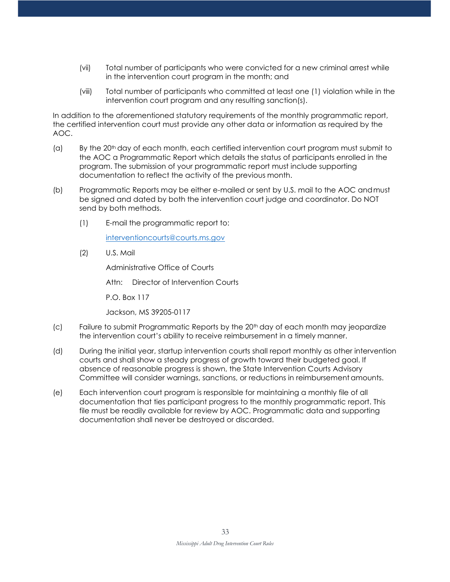- (vii) Total number of participants who were convicted for a new criminal arrest while in the intervention court program in the month; and
- (viii) Total number of participants who committed at least one (1) violation while in the intervention court program and any resulting sanction(s).

In addition to the aforementioned statutory requirements of the monthly programmatic report, the certified intervention court must provide any other data or information as required by the AOC.

- (a) By the 20<sup>th</sup> day of each month, each certified intervention court program must submit to the AOC a Programmatic Report which details the status of participants enrolled in the program. The submission of your programmatic report must include supporting documentation to reflect the activity of the previous month.
- (b) Programmatic Reports may be either e-mailed or sent by U.S. mail to the AOC andmust be signed and dated by both the intervention court judge and coordinator. Do NOT send by both methods.
	- (1) E-mail the programmatic report to[:](mailto:interventioncourts@courts.ms.gov)

[interventioncourts@courts.ms.gov](mailto:interventioncourts@courts.ms.gov)

(2) U.S. Mail

Administrative Office of Courts

Attn: Director of Intervention Courts

P.O. Box 117

Jackson, MS 39205-0117

- (c) Failure to submit Programmatic Reports by the 20<sup>th</sup> day of each month may jeopardize the intervention court's ability to receive reimbursement in a timely manner.
- (d) During the initial year, startup intervention courts shall report monthly as other intervention courts and shall show a steady progress of growth toward their budgeted goal. If absence of reasonable progress is shown, the State Intervention Courts Advisory Committee will consider warnings, sanctions, or reductions in reimbursementamounts.
- (e) Each intervention court program is responsible for maintaining a monthly file of all documentation that ties participant progress to the monthly programmatic report. This file must be readily available for review by AOC. Programmatic data and supporting documentation shall never be destroyed or discarded.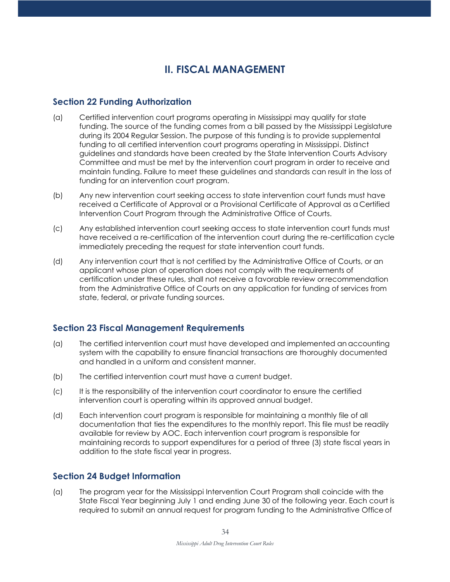# **II. FISCAL MANAGEMENT**

#### **Section 22 Funding Authorization**

- (a) Certified intervention court programs operating in Mississippi may qualify for state funding. The source of the funding comes from a bill passed by the Mississippi Legislature during its 2004 Regular Session. The purpose of this funding is to provide supplemental funding to all certified intervention court programs operating in Mississippi. Distinct guidelines and standards have been created by the State Intervention Courts Advisory Committee and must be met by the intervention court program in order to receive and maintain funding. Failure to meet these guidelines and standards can result in the loss of funding for an intervention court program.
- (b) Any new intervention court seeking access to state intervention court funds must have received a Certificate of Approval or a Provisional Certificate of Approval as a Certified Intervention Court Program through the Administrative Office of Courts.
- (c) Any established intervention court seeking access to state intervention court funds must have received a re-certification of the intervention court during the re-certification cycle immediately preceding the request for state intervention court funds.
- (d) Any intervention court that is not certified by the Administrative Office of Courts, or an applicant whose plan of operation does not comply with the requirements of certification under these rules, shall not receive a favorable review orrecommendation from the Administrative Office of Courts on any application for funding of services from state, federal, or private funding sources.

## **Section 23 Fiscal Management Requirements**

- (a) The certified intervention court must have developed and implemented an accounting system with the capability to ensure financial transactions are thoroughly documented and handled in a uniform and consistent manner.
- (b) The certified intervention court must have a current budget.
- (c) It is the responsibility of the intervention court coordinator to ensure the certified intervention court is operating within its approved annual budget.
- (d) Each intervention court program is responsible for maintaining a monthly file of all documentation that ties the expenditures to the monthly report. This file must be readily available for review by AOC. Each intervention court program is responsible for maintaining records to support expenditures for a period of three (3) state fiscal years in addition to the state fiscal year in progress.

## **Section 24 Budget Information**

(a) The program year for the Mississippi Intervention Court Program shall coincide with the State Fiscal Year beginning July 1 and ending June 30 of the following year. Each court is required to submit an annual request for program funding to the Administrative Officeof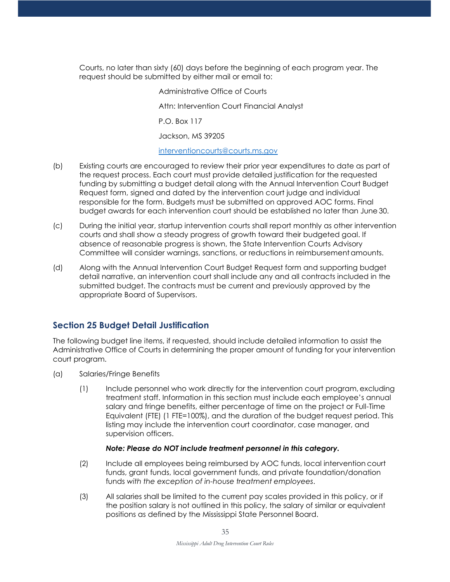Courts, no later than sixty (60) days before the beginning of each program year. The request should be submitted by either mail or email to:

> Administrative Office of Courts Attn: Intervention Court Financial Analyst P.O. Box 117 Jackson, MS 39205 [interventioncourts@courts.ms.gov](mailto:interventioncourts@courts.ms.gov)

- (b) Existing courts are encouraged to review their prior year expenditures to date as part of the request process. Each court must provide detailed justification for the requested funding by submitting a budget detail along with the Annual Intervention Court Budget Request form, signed and dated by the intervention court judge and individual responsible for the form. Budgets must be submitted on approved AOC forms. Final budget awards for each intervention court should be established no later than June30.
- (c) During the initial year, startup intervention courts shall report monthly as other intervention courts and shall show a steady progress of growth toward their budgeted goal. If absence of reasonable progress is shown, the State Intervention Courts Advisory Committee will consider warnings, sanctions, or reductions in reimbursementamounts.
- (d) Along with the Annual Intervention Court Budget Request form and supporting budget detail narrative, an intervention court shall include any and all contracts included in the submitted budget. The contracts must be current and previously approved by the appropriate Board of Supervisors.

## **Section 25 Budget Detail Justification**

The following budget line items, if requested, should include detailed information to assist the Administrative Office of Courts in determining the proper amount of funding for your intervention court program.

- (a) Salaries/Fringe Benefits
	- (1) Include personnel who work directly for the intervention court program, excluding treatment staff. Information in this section must include each employee's annual salary and fringe benefits, either percentage of time on the project or Full-Time Equivalent (FTE) (1 FTE=100%), and the duration of the budget request period. This listing may include the intervention court coordinator, case manager, and supervision officers.

#### *Note: Please do NOT include treatment personnel in this category.*

- (2) Include all employees being reimbursed by AOC funds, local intervention court funds, grant funds, local government funds, and private foundation/donation funds *with the exception of in-house treatment employees*.
- (3) All salaries shall be limited to the current pay scales provided in this policy, or if the position salary is not outlined in this policy, the salary of similar or equivalent positions as defined by the Mississippi State Personnel Board.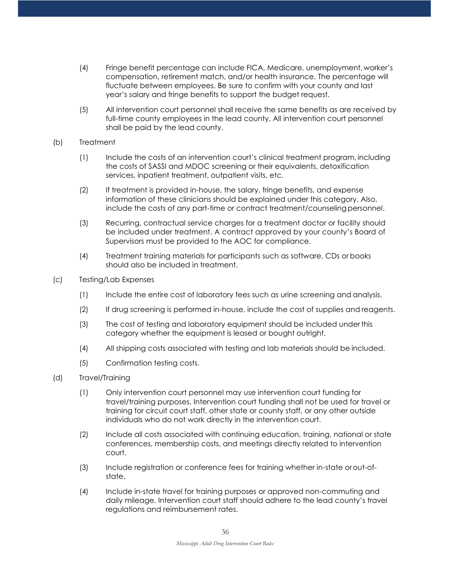- (4) Fringe benefit percentage can include FICA, Medicare, unemployment, worker's compensation, retirement match, and/or health insurance. The percentage will fluctuate between employees. Be sure to confirm with your county and last year's salary and fringe benefits to support the budget request.
- (5) All intervention court personnel shall receive the same benefits as are received by full-time county employees in the lead county. All intervention court personnel shall be paid by the lead county.
- (b) Treatment
	- (1) Include the costs of an intervention court's clinical treatment program, including the costs of SASSI and MDOC screening or their equivalents, detoxification services, inpatient treatment, outpatient visits, etc.
	- (2) If treatment is provided in-house, the salary, fringe benefits, and expense information of these clinicians should be explained under this category. Also, include the costs of any part-time or contract treatment/counseling personnel.
	- (3) Recurring, contractual service charges for a treatment doctor or facility should be included under treatment. A contract approved by your county's Board of Supervisors must be provided to the AOC for compliance.
	- (4) Treatment training materials for participants such as software, CDs or books should also be included in treatment.
- (c) Testing/Lab Expenses
	- (1) Include the entire cost of laboratory fees such as urine screening and analysis.
	- (2) If drug screening is performed in-house, include the cost of supplies and reagents.
	- (3) The cost of testing and laboratory equipment should be included underthis category whether the equipment is leased or bought outright.
	- (4) All shipping costs associated with testing and lab materials should be included.
	- (5) Confirmation testing costs.
- (d) Travel/Training
	- (1) Only intervention court personnel may use intervention court funding for travel/training purposes. Intervention court funding shall not be used for travel or training for circuit court staff, other state or county staff, or any other outside individuals who do not work directly in the intervention court.
	- (2) Include all costs associated with continuing education, training, national or state conferences, membership costs, and meetings directly related to intervention court.
	- (3) Include registration or conference fees for training whether in-state orout-ofstate.
	- (4) Include in-state travel for training purposes or approved non-commuting and daily mileage. Intervention court staff should adhere to the lead county's travel regulations and reimbursement rates.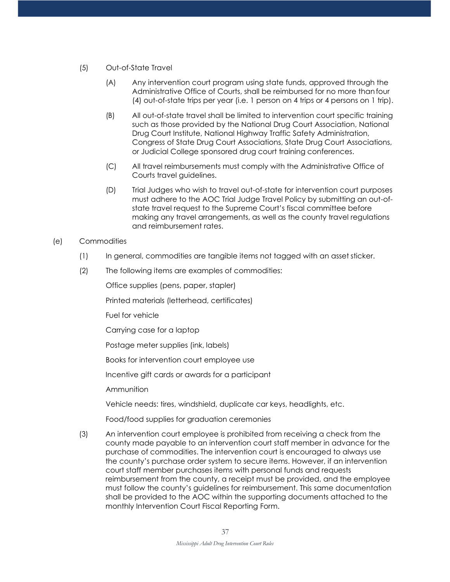- (5) Out-of-State Travel
	- (A) Any intervention court program using state funds, approved through the Administrative Office of Courts, shall be reimbursed for no more thanfour (4) out-of-state trips per year (i.e. 1 person on 4 trips or 4 persons on 1 trip).
	- (B) All out-of-state travel shall be limited to intervention court specific training such as those provided by the National Drug Court Association, National Drug Court Institute, National Highway Traffic Safety Administration, Congress of State Drug Court Associations, State Drug Court Associations, or Judicial College sponsored drug court training conferences.
	- (C) All travel reimbursements must comply with the Administrative Office of Courts travel guidelines.
	- (D) Trial Judges who wish to travel out-of-state for intervention court purposes must adhere to the AOC Trial Judge Travel Policy by submitting an out-ofstate travel request to the Supreme Court's fiscal committee before making any travel arrangements, as well as the county travel regulations and reimbursement rates.

#### (e) Commodities

- (1) In general, commodities are tangible items not tagged with an asset sticker.
- (2) The following items are examples of commodities:

Office supplies (pens, paper, stapler)

Printed materials (letterhead, certificates)

Fuel for vehicle

Carrying case for a laptop

Postage meter supplies (ink, labels)

Books for intervention court employee use

Incentive gift cards or awards for a participant

Ammunition

Vehicle needs: tires, windshield, duplicate car keys, headlights, etc.

Food/food supplies for graduation ceremonies

(3) An intervention court employee is prohibited from receiving a check from the county made payable to an intervention court staff member in advance for the purchase of commodities. The intervention court is encouraged to always use the county's purchase order system to secure items. However, if an intervention court staff member purchases items with personal funds and requests reimbursement from the county, a receipt must be provided, and the employee must follow the county's guidelines for reimbursement. This same documentation shall be provided to the AOC within the supporting documents attached to the monthly Intervention Court Fiscal Reporting Form.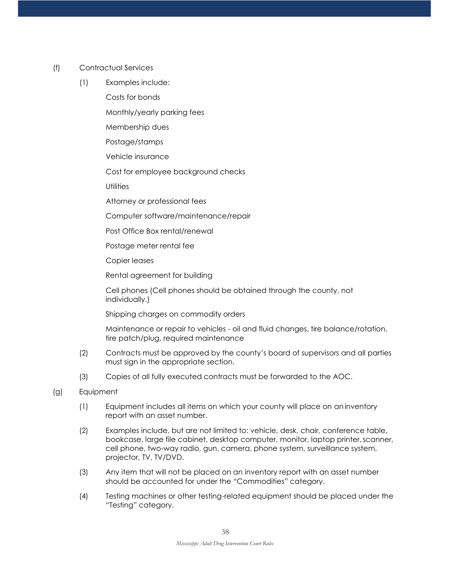- (f) Contractual Services
	- (1) Examples include:

Costs for bonds

Monthly/yearly parking fees

Membership dues

Postage/stamps

Vehicle insurance

Cost for employee background checks

**Utilities** 

Attorney or professional fees

Computer software/maintenance/repair

Post Office Box rental/renewal

Postage meter rental fee

Copier leases

Rental agreement for building

Cell phones (Cell phones should be obtained through the county, not individually.)

Shipping charges on commodity orders

Maintenance or repair to vehicles - oil and fluid changes, tire balance/rotation, tire patch/plug, required maintenance

- (2) Contracts must be approved by the county's board of supervisors and all parties must sign in the appropriate section.
- (3) Copies of all fully executed contracts must be forwarded to the AOC.
- (g) Equipment
	- (1) Equipment includes all items on which your county will place on aninventory report with an asset number.
	- (2) Examples include, but are not limited to: vehicle, desk, chair, conference table, bookcase, large file cabinet, desktop computer, monitor, laptop printer,scanner, cell phone, two-way radio, gun, camera, phone system, surveillance system, projector, TV, TV/DVD.
	- (3) Any item that will not be placed on an inventory report with an asset number should be accounted for under the "Commodities" category.
	- (4) Testing machines or other testing-related equipment should be placed under the "Testing" category.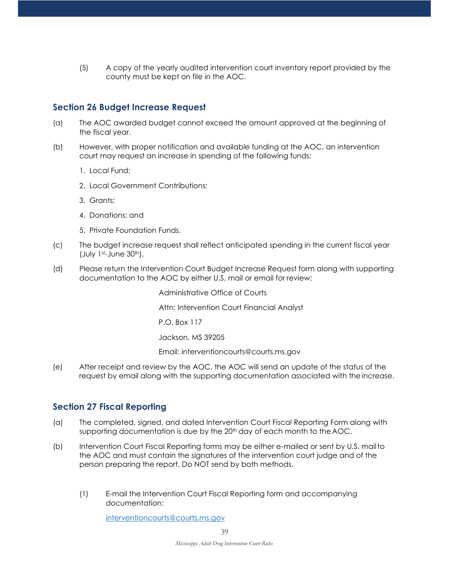(5) A copy of the yearly audited intervention court inventory report provided by the county must be kept on file in the AOC.

#### **Section 26 Budget Increase Request**

- (a) The AOC awarded budget cannot exceed the amount approved at the beginning of the fiscal year.
- (b) However, with proper notification and available funding at the AOC, an intervention court may request an increase in spending of the following funds:
	- 1. Local Fund;
	- 2. Local Government Contributions;
	- 3. Grants;
	- 4. Donations; and
	- 5. Private Foundation Funds.
- (c) The budget increase request shall reflect anticipated spending in the current fiscal year (July 1st-June 30th).
- (d) Please return the Intervention Court Budget Increase Request form along with supporting documentation to the AOC by either U.S. mail or email for review:

Administrative Office of Courts Attn: Intervention Court Financial Analyst P.O. Box 117 Jackson, MS 39205

Email: [interventioncourts@courts.ms.gov](mailto:drugcourts@courts.ms.gov)

(e) After receipt and review by the AOC, the AOC will send an update of the status of the request by email along with the supporting documentation associated with the increase.

#### **Section 27 Fiscal Reporting**

- (a) The completed, signed, and dated Intervention Court Fiscal Reporting Form along with supporting documentation is due by the 20<sup>th</sup> day of each month to the AOC.
- (b) Intervention Court Fiscal Reporting forms may be either e-mailed or sent by U.S. mailto the AOC and must contain the signatures of the intervention court judge and of the person preparing the report. Do NOT send by both methods.
	- (1) E-mail the Intervention Court Fiscal Reporting form and accompanying documentation:

[interventioncourts@courts.ms.gov](mailto:interventioncourts@courts.ms.gov)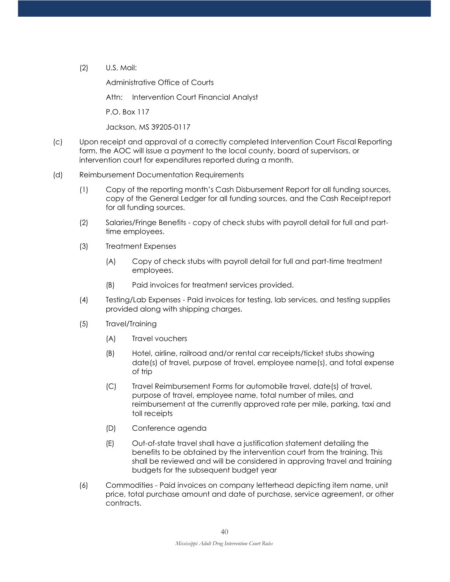(2) U.S. Mail:

Administrative Office of Courts

Attn: Intervention Court Financial Analyst

P.O. Box 117

Jackson, MS 39205-0117

(c) Upon receipt and approval of a correctly completed Intervention Court Fiscal Reporting form, the AOC will issue a payment to the local county, board of supervisors, or intervention court for expenditures reported during a month.

#### (d) Reimbursement Documentation Requirements

- (1) Copy of the reporting month's Cash Disbursement Report for all funding sources, copy of the General Ledger for all funding sources, and the Cash Receiptreport for all funding sources.
- (2) Salaries/Fringe Benefits copy of check stubs with payroll detail for full and parttime employees.
- (3) Treatment Expenses
	- (A) Copy of check stubs with payroll detail for full and part-time treatment employees.
	- (B) Paid invoices for treatment services provided.
- (4) Testing/Lab Expenses Paid invoices for testing, lab services, and testing supplies provided along with shipping charges.
- (5) Travel/Training
	- (A) Travel vouchers
	- (B) Hotel, airline, railroad and/or rental car receipts/ticket stubs showing date(s) of travel, purpose of travel, employee name(s), and total expense of trip
	- (C) Travel Reimbursement Forms for automobile travel, date(s) of travel, purpose of travel, employee name, total number of miles, and reimbursement at the currently approved rate per mile, parking, taxi and toll receipts
	- (D) Conference agenda
	- (E) Out-of-state travel shall have a justification statement detailing the benefits to be obtained by the intervention court from the training. This shall be reviewed and will be considered in approving travel and training budgets for the subsequent budget year
- (6) Commodities Paid invoices on company letterhead depicting item name, unit price, total purchase amount and date of purchase, service agreement, or other contracts.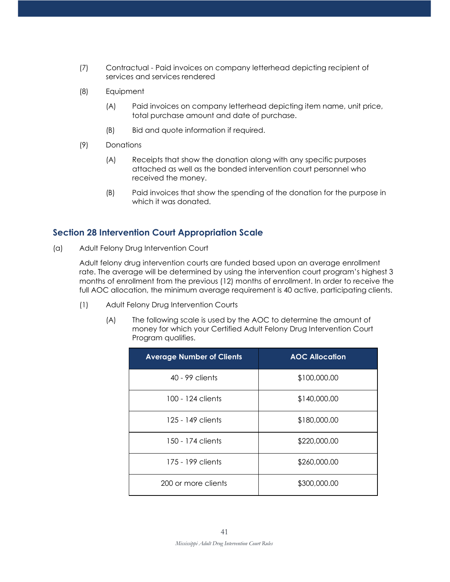- (7) Contractual Paid invoices on company letterhead depicting recipient of services and services rendered
- (8) Equipment
	- (A) Paid invoices on company letterhead depicting item name, unit price, total purchase amount and date of purchase.
	- (B) Bid and quote information if required.
- (9) Donations
	- (A) Receipts that show the donation along with any specific purposes attached as well as the bonded intervention court personnel who received the money.
	- (B) Paid invoices that show the spending of the donation for the purpose in which it was donated.

#### **Section 28 Intervention Court Appropriation Scale**

(a) Adult Felony Drug Intervention Court

Adult felony drug intervention courts are funded based upon an average enrollment rate. The average will be determined by using the intervention court program's highest 3 months of enrollment from the previous (12) months of enrollment. In order to receive the full AOC allocation, the minimum average requirement is 40 active, participating clients.

- (1) Adult Felony Drug Intervention Courts
	- (A) The following scale is used by the AOC to determine the amount of money for which your Certified Adult Felony Drug Intervention Court Program qualifies.

| <b>Average Number of Clients</b> | <b>AOC Allocation</b> |  |
|----------------------------------|-----------------------|--|
| 40 - 99 clients                  | \$100,000.00          |  |
| 100 - 124 clients                | \$140,000.00          |  |
| 125 - 149 clients                | \$180,000.00          |  |
| 150 - 174 clients                | \$220,000.00          |  |
| 175 - 199 clients                | \$260,000.00          |  |
| 200 or more clients              | \$300,000.00          |  |